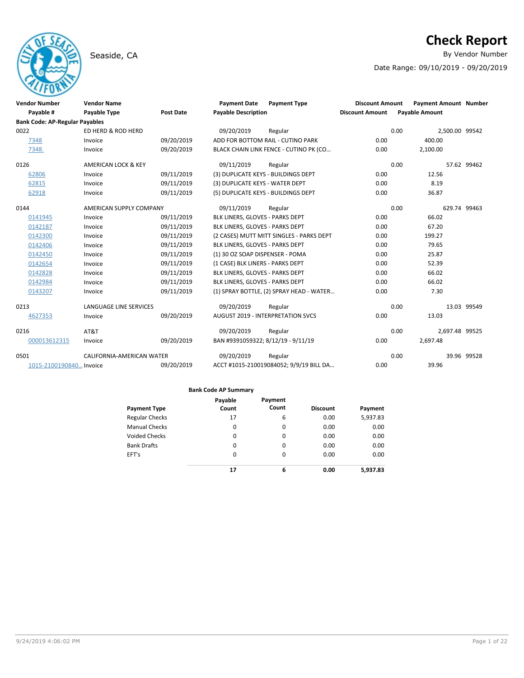# **Check Report**

Seaside, CA **By Vendor Number** 

Date Range: 09/10/2019 - 09/20/2019

| <b>Vendor Number</b>                  | <b>Vendor Name</b>             |                  | <b>Payment Date</b>                 | <b>Payment Type</b>                      | <b>Discount Amount</b> | <b>Payment Amount Number</b> |              |
|---------------------------------------|--------------------------------|------------------|-------------------------------------|------------------------------------------|------------------------|------------------------------|--------------|
| Payable #                             | <b>Payable Type</b>            | <b>Post Date</b> | <b>Payable Description</b>          |                                          | <b>Discount Amount</b> | <b>Payable Amount</b>        |              |
| <b>Bank Code: AP-Regular Payables</b> |                                |                  |                                     |                                          |                        |                              |              |
| 0022                                  | ED HERD & ROD HERD             |                  | 09/20/2019                          | Regular                                  |                        | 0.00<br>2,500.00 99542       |              |
| 7348                                  | Invoice                        | 09/20/2019       |                                     | ADD FOR BOTTOM RAIL - CUTINO PARK        | 0.00                   | 400.00                       |              |
| 7348.                                 | Invoice                        | 09/20/2019       |                                     | BLACK CHAIN LINK FENCE - CUTINO PK (CO   | 0.00                   | 2,100.00                     |              |
| 0126                                  | <b>AMERICAN LOCK &amp; KEY</b> |                  | 09/11/2019                          | Regular                                  |                        | 0.00                         | 57.62 99462  |
| 62806                                 | Invoice                        | 09/11/2019       | (3) DUPLICATE KEYS - BUILDINGS DEPT |                                          | 0.00                   | 12.56                        |              |
| 62815                                 | Invoice                        | 09/11/2019       | (3) DUPLICATE KEYS - WATER DEPT     |                                          | 0.00                   | 8.19                         |              |
| 62918                                 | Invoice                        | 09/11/2019       | (5) DUPLICATE KEYS - BUILDINGS DEPT |                                          | 0.00                   | 36.87                        |              |
| 0144                                  | AMERICAN SUPPLY COMPANY        |                  | 09/11/2019                          | Regular                                  |                        | 0.00                         | 629.74 99463 |
| 0141945                               | Invoice                        | 09/11/2019       | BLK LINERS, GLOVES - PARKS DEPT     |                                          | 0.00                   | 66.02                        |              |
| 0142187                               | Invoice                        | 09/11/2019       | BLK LINERS, GLOVES - PARKS DEPT     |                                          | 0.00                   | 67.20                        |              |
| 0142300                               | Invoice                        | 09/11/2019       |                                     | (2 CASES) MUTT MITT SINGLES - PARKS DEPT | 0.00                   | 199.27                       |              |
| 0142406                               | Invoice                        | 09/11/2019       | BLK LINERS, GLOVES - PARKS DEPT     |                                          | 0.00                   | 79.65                        |              |
| 0142450                               | Invoice                        | 09/11/2019       | (1) 30 OZ SOAP DISPENSER - POMA     |                                          | 0.00                   | 25.87                        |              |
| 0142654                               | Invoice                        | 09/11/2019       | (1 CASE) BLK LINERS - PARKS DEPT    |                                          | 0.00                   | 52.39                        |              |
| 0142828                               | Invoice                        | 09/11/2019       | BLK LINERS, GLOVES - PARKS DEPT     |                                          | 0.00                   | 66.02                        |              |
| 0142984                               | Invoice                        | 09/11/2019       | BLK LINERS, GLOVES - PARKS DEPT     |                                          | 0.00                   | 66.02                        |              |
| 0143207                               | Invoice                        | 09/11/2019       |                                     | (1) SPRAY BOTTLE, (2) SPRAY HEAD - WATER | 0.00                   | 7.30                         |              |
| 0213                                  | <b>LANGUAGE LINE SERVICES</b>  |                  | 09/20/2019                          | Regular                                  |                        | 0.00                         | 13.03 99549  |
| 4627353                               | Invoice                        | 09/20/2019       |                                     | <b>AUGUST 2019 - INTERPRETATION SVCS</b> | 0.00                   | 13.03                        |              |
| 0216                                  | AT&T                           |                  | 09/20/2019                          | Regular                                  |                        | 0.00<br>2,697.48 99525       |              |
| 000013612315                          | Invoice                        | 09/20/2019       | BAN #9391059322; 8/12/19 - 9/11/19  |                                          | 0.00                   | 2,697.48                     |              |
| 0501                                  | CALIFORNIA-AMERICAN WATER      |                  | 09/20/2019                          | Regular                                  |                        | 0.00                         | 39.96 99528  |
| 1015-2100190840 Invoice               |                                | 09/20/2019       |                                     | ACCT #1015-210019084052; 9/9/19 BILL DA  | 0.00                   | 39.96                        |              |

|                       | Payable  | Payment  |                 |          |
|-----------------------|----------|----------|-----------------|----------|
| <b>Payment Type</b>   | Count    | Count    | <b>Discount</b> | Payment  |
| <b>Regular Checks</b> | 17       | 6        | 0.00            | 5,937.83 |
| <b>Manual Checks</b>  | $\Omega$ | 0        | 0.00            | 0.00     |
| <b>Voided Checks</b>  | 0        | 0        | 0.00            | 0.00     |
| <b>Bank Drafts</b>    | $\Omega$ | 0        | 0.00            | 0.00     |
| EFT's                 | $\Omega$ | $\Omega$ | 0.00            | 0.00     |
|                       | 17       | 6        | 0.00            | 5,937.83 |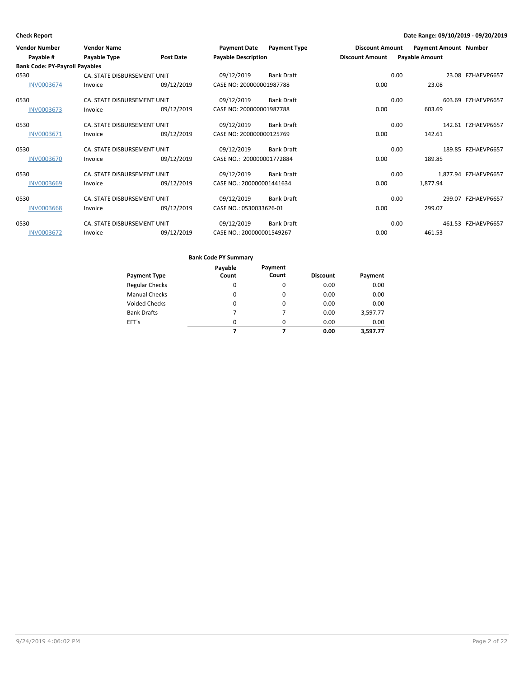| <b>Vendor Number</b>                  | <b>Vendor Name</b>          |                  | <b>Payment Date</b>        | <b>Payment Type</b> | <b>Discount Amount</b> |      | <b>Payment Amount Number</b> |                      |
|---------------------------------------|-----------------------------|------------------|----------------------------|---------------------|------------------------|------|------------------------------|----------------------|
| Payable #                             | Payable Type                | <b>Post Date</b> | <b>Payable Description</b> |                     | <b>Discount Amount</b> |      | <b>Payable Amount</b>        |                      |
| <b>Bank Code: PY-Payroll Payables</b> |                             |                  |                            |                     |                        |      |                              |                      |
| 0530                                  | CA. STATE DISBURSEMENT UNIT |                  | 09/12/2019                 | <b>Bank Draft</b>   |                        | 0.00 |                              | 23.08 FZHAEVP6657    |
| <b>INV0003674</b>                     | Invoice                     | 09/12/2019       | CASE NO: 200000001987788   |                     | 0.00                   |      | 23.08                        |                      |
| 0530                                  | CA. STATE DISBURSEMENT UNIT |                  | 09/12/2019                 | <b>Bank Draft</b>   |                        | 0.00 |                              | 603.69 FZHAEVP6657   |
| INV0003673                            | Invoice                     | 09/12/2019       | CASE NO: 200000001987788   |                     | 0.00                   |      | 603.69                       |                      |
| 0530                                  | CA. STATE DISBURSEMENT UNIT |                  | 09/12/2019                 | <b>Bank Draft</b>   |                        | 0.00 |                              | 142.61 FZHAEVP6657   |
| INV0003671                            | Invoice                     | 09/12/2019       | CASE NO: 200000000125769   |                     | 0.00                   |      | 142.61                       |                      |
| 0530                                  | CA. STATE DISBURSEMENT UNIT |                  | 09/12/2019                 | <b>Bank Draft</b>   |                        | 0.00 |                              | 189.85 FZHAEVP6657   |
| <b>INV0003670</b>                     | Invoice                     | 09/12/2019       | CASE NO.: 200000001772884  |                     | 0.00                   |      | 189.85                       |                      |
| 0530                                  | CA. STATE DISBURSEMENT UNIT |                  | 09/12/2019                 | <b>Bank Draft</b>   |                        | 0.00 |                              | 1,877.94 FZHAEVP6657 |
| <b>INV0003669</b>                     | Invoice                     | 09/12/2019       | CASE NO.: 200000001441634  |                     | 0.00                   |      | 1,877.94                     |                      |
| 0530                                  | CA. STATE DISBURSEMENT UNIT |                  | 09/12/2019                 | <b>Bank Draft</b>   |                        | 0.00 |                              | 299.07 FZHAEVP6657   |
| <b>INV0003668</b>                     | Invoice                     | 09/12/2019       | CASE NO.: 0530033626-01    |                     | 0.00                   |      | 299.07                       |                      |
| 0530                                  | CA. STATE DISBURSEMENT UNIT |                  | 09/12/2019                 | <b>Bank Draft</b>   |                        | 0.00 |                              | 461.53 FZHAEVP6657   |
| <b>INV0003672</b>                     | Invoice                     | 09/12/2019       | CASE NO.: 200000001549267  |                     | 0.00                   |      | 461.53                       |                      |

|                       | Payable  | Payment  |                 |          |
|-----------------------|----------|----------|-----------------|----------|
| <b>Payment Type</b>   | Count    | Count    | <b>Discount</b> | Payment  |
| <b>Regular Checks</b> | 0        | 0        | 0.00            | 0.00     |
| <b>Manual Checks</b>  | 0        | $\Omega$ | 0.00            | 0.00     |
| <b>Voided Checks</b>  | 0        | 0        | 0.00            | 0.00     |
| <b>Bank Drafts</b>    | 7        | 7        | 0.00            | 3,597.77 |
| EFT's                 | $\Omega$ | $\Omega$ | 0.00            | 0.00     |
|                       |          |          | 0.00            | 3.597.77 |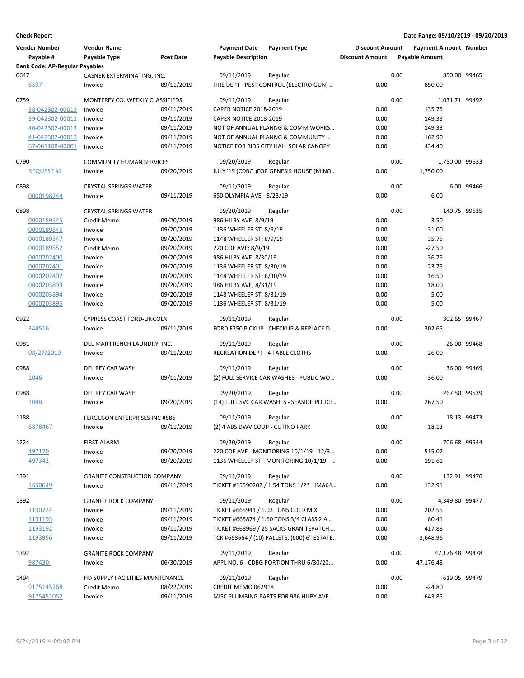| <b>Vendor Number</b><br>Payable #     | <b>Vendor Name</b><br>Payable Type             | Post Date  | <b>Payment Date</b><br><b>Payable Description</b> | <b>Payment Type</b>                                | <b>Discount Amount</b><br><b>Discount Amount</b> |      | <b>Payment Amount Number</b><br><b>Payable Amount</b> |             |
|---------------------------------------|------------------------------------------------|------------|---------------------------------------------------|----------------------------------------------------|--------------------------------------------------|------|-------------------------------------------------------|-------------|
| <b>Bank Code: AP-Regular Payables</b> |                                                |            |                                                   |                                                    |                                                  |      |                                                       |             |
| 0647<br>6597                          | CASNER EXTERMINATING, INC.<br>Invoice          | 09/11/2019 | 09/11/2019                                        | Regular<br>FIRE DEPT - PEST CONTROL (ELECTRO GUN)  | 0.00                                             | 0.00 | 850.00 99465<br>850.00                                |             |
| 0759                                  | MONTEREY CO. WEEKLY CLASSIFIEDS                |            | 09/11/2019                                        | Regular                                            |                                                  | 0.00 | 1,031.71 99492                                        |             |
| 38-042302-00013                       | Invoice                                        | 09/11/2019 | CAPER NOTICE 2018-2019                            |                                                    | 0.00                                             |      | 135.75                                                |             |
| 39-042302-00013                       | Invoice                                        | 09/11/2019 | <b>CAPER NOTICE 2018-2019</b>                     |                                                    | 0.00                                             |      | 149.33                                                |             |
| 40-042302-00013                       | Invoice                                        | 09/11/2019 |                                                   | NOT OF ANNUAL PLANNG & COMM WORKS                  | 0.00                                             |      | 149.33                                                |             |
| 41-042302-00013                       | Invoice                                        | 09/11/2019 |                                                   | NOT OF ANNUAL PLANNG & COMMUNITY                   | 0.00                                             |      | 162.90                                                |             |
| 67-061108-00001                       | Invoice                                        | 09/11/2019 |                                                   | NOTICE FOR BIDS CITY HALL SOLAR CANOPY             | 0.00                                             |      | 434.40                                                |             |
| 0790                                  | <b>COMMUNITY HUMAN SERVICES</b>                |            | 09/20/2019                                        | Regular                                            |                                                  | 0.00 | 1,750.00 99533                                        |             |
| <b>REQUEST #2</b>                     | Invoice                                        | 09/20/2019 |                                                   | JULY '19 (CDBG )FOR GENESIS HOUSE (MINO            | 0.00                                             |      | 1,750.00                                              |             |
|                                       |                                                |            |                                                   |                                                    |                                                  |      |                                                       |             |
| 0898                                  | <b>CRYSTAL SPRINGS WATER</b>                   |            | 09/11/2019                                        | Regular                                            |                                                  | 0.00 |                                                       | 6.00 99466  |
| 0000198244                            | Invoice                                        | 09/11/2019 | 650 OLYMPIA AVE - 8/23/19                         |                                                    | 0.00                                             |      | 6.00                                                  |             |
| 0898                                  | <b>CRYSTAL SPRINGS WATER</b>                   |            | 09/20/2019                                        | Regular                                            |                                                  | 0.00 | 140.75 99535                                          |             |
| 0000189545                            | Credit Memo                                    | 09/20/2019 | 986 HILBY AVE; 8/9/19                             |                                                    | 0.00                                             |      | $-3.50$                                               |             |
| 0000189546                            | Invoice                                        | 09/20/2019 | 1136 WHEELER ST; 8/9/19                           |                                                    | 0.00                                             |      | 31.00                                                 |             |
| 0000189547                            | Invoice                                        | 09/20/2019 | 1148 WHEELER ST; 8/9/19                           |                                                    | 0.00                                             |      | 35.75                                                 |             |
| 0000189552                            | Credit Memo                                    | 09/20/2019 | 220 COE AVE; 8/9/19                               |                                                    | 0.00                                             |      | $-27.50$                                              |             |
| 0000202400                            | Invoice                                        | 09/20/2019 | 986 HILBY AVE; 8/30/19                            |                                                    | 0.00                                             |      | 36.75                                                 |             |
| 0000202401                            | Invoice                                        | 09/20/2019 | 1136 WHEELER ST; 8/30/19                          |                                                    | 0.00                                             |      | 23.75                                                 |             |
| 0000202402                            | Invoice                                        | 09/20/2019 | 1148 WHEELER ST; 8/30/19                          |                                                    | 0.00                                             |      | 16.50                                                 |             |
| 0000203893                            | Invoice                                        | 09/20/2019 | 986 HILBY AVE; 8/31/19                            |                                                    | 0.00                                             |      | 18.00                                                 |             |
| 0000203894                            | Invoice                                        | 09/20/2019 | 1148 WHEELER ST; 8/31/19                          |                                                    | 0.00                                             |      | 5.00                                                  |             |
| 0000203895                            | Invoice                                        | 09/20/2019 | 1136 WHEELER ST; 8/31/19                          |                                                    | 0.00                                             |      | 5.00                                                  |             |
| 0922                                  | <b>CYPRESS COAST FORD-LINCOLN</b>              |            | 09/11/2019                                        | Regular                                            |                                                  | 0.00 | 302.65 99467                                          |             |
| 344516                                | Invoice                                        | 09/11/2019 |                                                   | FORD F250 PICKUP - CHECKUP & REPLACE D             | 0.00                                             |      | 302.65                                                |             |
| 0981                                  | DEL MAR FRENCH LAUNDRY, INC.                   |            | 09/11/2019                                        | Regular                                            |                                                  | 0.00 |                                                       | 26.00 99468 |
| 08/27/2019                            | Invoice                                        | 09/11/2019 | RECREATION DEPT - 4 TABLE CLOTHS                  |                                                    | 0.00                                             |      | 26.00                                                 |             |
|                                       |                                                |            |                                                   |                                                    |                                                  |      |                                                       |             |
| 0988<br>1046                          | DEL REY CAR WASH<br>Invoice                    | 09/11/2019 | 09/11/2019                                        | Regular<br>(2) FULL SERVICE CAR WASHES - PUBLIC WO | 0.00                                             | 0.00 | 36.00                                                 | 36.00 99469 |
|                                       |                                                |            |                                                   |                                                    |                                                  |      |                                                       |             |
| 0988                                  | DEL REY CAR WASH                               |            | 09/20/2019                                        | Regular                                            |                                                  | 0.00 | 267.50 99539                                          |             |
| 1048                                  | Invoice                                        | 09/20/2019 |                                                   | (14) FULL SVC CAR WASHES - SEASIDE POLICE          | 0.00                                             |      | 267.50                                                |             |
| 1188                                  | <b>FERGUSON ENTERPRISES INC #686</b>           |            | 09/11/2019                                        | Regular                                            |                                                  | 0.00 |                                                       | 18.13 99473 |
| 6878467                               | Invoice                                        | 09/11/2019 | (2) 4 ABS DWV COUP - CUTINO PARK                  |                                                    | 0.00                                             |      | 18.13                                                 |             |
| 1224                                  | <b>FIRST ALARM</b>                             |            | 09/20/2019                                        | Regular                                            |                                                  | 0.00 | 706.68 99544                                          |             |
| 497170                                | Invoice                                        | 09/20/2019 |                                                   | 220 COE AVE - MONITORING 10/1/19 - 12/3            | 0.00                                             |      | 515.07                                                |             |
| 497342                                | Invoice                                        | 09/20/2019 |                                                   | 1136 WHEELER ST - MONITORING 10/1/19 -             | 0.00                                             |      | 191.61                                                |             |
|                                       |                                                |            |                                                   |                                                    |                                                  |      |                                                       |             |
| 1391<br>1650649                       | <b>GRANITE CONSTRUCTION COMPANY</b><br>Invoice | 09/11/2019 | 09/11/2019                                        | Regular<br>TICKET #15590202 / 1.54 TONS 1/2" HMA64 | 0.00                                             | 0.00 | 132.91 99476<br>132.91                                |             |
|                                       |                                                |            |                                                   |                                                    |                                                  |      |                                                       |             |
| 1392                                  | <b>GRANITE ROCK COMPANY</b>                    |            | 09/11/2019                                        | Regular                                            |                                                  | 0.00 | 4,349.80 99477                                        |             |
| 1190724                               | Invoice                                        | 09/11/2019 |                                                   | TICKET #665941 / 1.03 TONS COLD MIX                | 0.00                                             |      | 202.55                                                |             |
| 1191193                               | Invoice                                        | 09/11/2019 |                                                   | TICKET #665874 / 1.60 TONS 3/4 CLASS 2 A           | 0.00                                             |      | 80.41                                                 |             |
| 1193192                               | Invoice                                        | 09/11/2019 |                                                   | TICKET #668969 / 25 SACKS GRANITEPATCH             | 0.00                                             |      | 417.88                                                |             |
| 1193956                               | Invoice                                        | 09/11/2019 |                                                   | TCK #668664 / (10) PALLETS, (600) 6" ESTATE        | 0.00                                             |      | 3,648.96                                              |             |
| 1392                                  | <b>GRANITE ROCK COMPANY</b>                    |            | 09/11/2019                                        | Regular                                            |                                                  | 0.00 | 47,176.48 99478                                       |             |
| 987430.                               | Invoice                                        | 06/30/2019 |                                                   | APPL NO. 6 - CDBG PORTION THRU 6/30/20             | 0.00                                             |      | 47,176.48                                             |             |
| 1494                                  | HD SUPPLY FACILITIES MAINTENANCE               |            | 09/11/2019                                        | Regular                                            |                                                  | 0.00 | 619.05 99479                                          |             |
| 9175145268                            | Credit Memo                                    | 08/22/2019 | CREDIT MEMO 062918                                |                                                    | 0.00                                             |      | $-24.80$                                              |             |
| 9175451052                            | Invoice                                        | 09/11/2019 |                                                   | MISC PLUMBING PARTS FOR 986 HILBY AVE.             | 0.00                                             |      | 643.85                                                |             |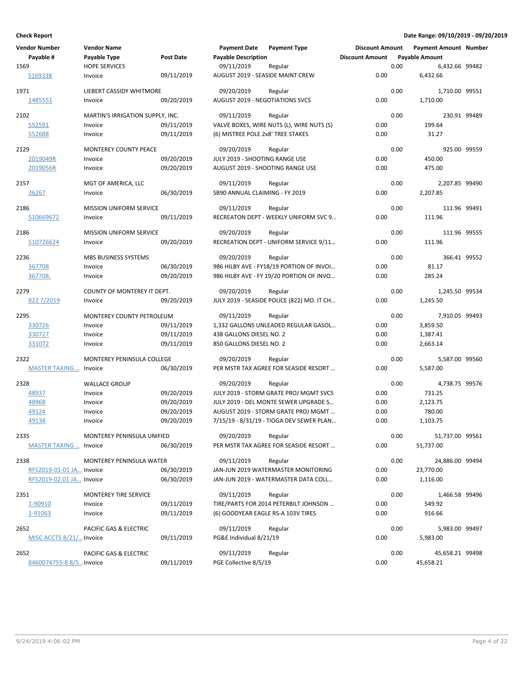| <b>Vendor Number</b>          | <b>Vendor Name</b>               |                  | <b>Payment Date</b>                    | <b>Payment Type</b>                        | <b>Discount Amount</b> |      | <b>Payment Amount Number</b> |              |
|-------------------------------|----------------------------------|------------------|----------------------------------------|--------------------------------------------|------------------------|------|------------------------------|--------------|
| Payable #                     | Payable Type                     | <b>Post Date</b> | <b>Payable Description</b>             |                                            | <b>Discount Amount</b> |      | <b>Payable Amount</b>        |              |
| 1569                          | <b>HOPE SERVICES</b>             |                  | 09/11/2019                             | Regular                                    |                        | 0.00 | 6,432.66 99482               |              |
| S169338                       | Invoice                          | 09/11/2019       | AUGUST 2019 - SEASIDE MAINT CREW       |                                            | 0.00                   |      | 6,432.66                     |              |
| 1971                          | LIEBERT CASSIDY WHITMORE         |                  | 09/20/2019                             | Regular                                    |                        | 0.00 | 1,710.00 99551               |              |
| 1485551                       | Invoice                          | 09/20/2019       | <b>AUGUST 2019 - NEGOTIATIONS SVCS</b> |                                            | 0.00                   |      | 1,710.00                     |              |
| 2102                          | MARTIN'S IRRIGATION SUPPLY, INC. |                  | 09/11/2019                             | Regular                                    |                        | 0.00 | 230.91 99489                 |              |
| 552591                        | Invoice                          | 09/11/2019       |                                        | VALVE BOXES, WIRE NUTS (L), WIRE NUTS (S)  | 0.00                   |      | 199.64                       |              |
| 552688                        | Invoice                          | 09/11/2019       | (6) MISTREE POLE 2x8' TREE STAKES      |                                            | 0.00                   |      | 31.27                        |              |
| 2129                          | <b>MONTEREY COUNTY PEACE</b>     |                  | 09/20/2019                             | Regular                                    |                        | 0.00 | 925.00 99559                 |              |
| 2019049R                      | Invoice                          | 09/20/2019       | JULY 2019 - SHOOTING RANGE USE         |                                            | 0.00                   |      | 450.00                       |              |
| 2019056R                      | Invoice                          | 09/20/2019       |                                        | AUGUST 2019 - SHOOTING RANGE USE           | 0.00                   |      | 475.00                       |              |
| 2157                          | MGT OF AMERICA, LLC              |                  | 09/11/2019                             | Regular                                    |                        | 0.00 | 2,207.85 99490               |              |
| 36267                         | Invoice                          | 06/30/2019       | SB90 ANNUAL CLAIMING - FY 2019         |                                            | 0.00                   |      | 2,207.85                     |              |
| 2186                          | <b>MISSION UNIFORM SERVICE</b>   |                  | 09/11/2019                             | Regular                                    |                        | 0.00 | 111.96 99491                 |              |
| 510669672                     | Invoice                          | 09/11/2019       |                                        | RECREATON DEPT - WEEKLY UNIFORM SVC 9      | 0.00                   |      | 111.96                       |              |
| 2186                          | MISSION UNIFORM SERVICE          |                  | 09/20/2019                             | Regular                                    |                        | 0.00 | 111.96 99555                 |              |
| 510726624                     | Invoice                          | 09/20/2019       |                                        | RECREATION DEPT - UNIFORM SERVICE 9/11     | 0.00                   |      | 111.96                       |              |
| 2236                          | <b>MBS BUSINESS SYSTEMS</b>      |                  | 09/20/2019                             | Regular                                    |                        | 0.00 |                              | 366.41 99552 |
| 367708                        | Invoice                          | 06/30/2019       |                                        | 986 HILBY AVE - FY18/19 PORTION OF INVOI   | 0.00                   |      | 81.17                        |              |
| 367708.                       | Invoice                          | 09/20/2019       |                                        | 986 HILBY AVE - FY 19/20 PORTION OF INVO   | 0.00                   |      | 285.24                       |              |
| 2279                          | COUNTY OF MONTEREY IT DEPT.      |                  | 09/20/2019                             | Regular                                    |                        | 0.00 | 1,245.50 99534               |              |
| 822 7/2019                    | Invoice                          | 09/20/2019       |                                        | JULY 2019 - SEASIDE POLICE (822) MO. IT CH | 0.00                   |      | 1,245.50                     |              |
| 2295                          | MONTEREY COUNTY PETROLEUM        |                  | 09/11/2019                             | Regular                                    |                        | 0.00 | 7,910.05 99493               |              |
| 330726                        | Invoice                          | 09/11/2019       |                                        | 1,332 GALLONS UNLEADED REGULAR GASOL       | 0.00                   |      | 3,859.50                     |              |
| 330727                        | Invoice                          | 09/11/2019       | 438 GALLONS DIESEL NO. 2               |                                            | 0.00                   |      | 1,387.41                     |              |
| 331072                        | Invoice                          | 09/11/2019       | 850 GALLONS DIESEL NO. 2               |                                            | 0.00                   |      | 2,663.14                     |              |
| 2322                          | MONTEREY PENINSULA COLLEGE       |                  | 09/20/2019                             | Regular                                    |                        | 0.00 | 5,587.00 99560               |              |
| <b>MASTER TAXING  Invoice</b> |                                  | 06/30/2019       |                                        | PER MSTR TAX AGREE FOR SEASIDE RESORT      | 0.00                   |      | 5,587.00                     |              |
| 2328                          | <b>WALLACE GROUP</b>             |                  | 09/20/2019                             | Regular                                    |                        | 0.00 | 4,738.75 99576               |              |
| 48937                         | Invoice                          | 09/20/2019       |                                        | JULY 2019 - STORM GRATE PROJ MGMT SVCS     | 0.00                   |      | 731.25                       |              |
| 48968                         | Invoice                          | 09/20/2019       |                                        | JULY 2019 - DEL MONTE SEWER UPGRADE S      | 0.00                   |      | 2,123.75                     |              |
| 49124                         | Invoice                          | 09/20/2019       |                                        | AUGUST 2019 - STORM GRATE PROJ MGMT        | 0.00                   |      | 780.00                       |              |
| 49134                         | Invoice                          | 09/20/2019       |                                        | 7/15/19 - 8/31/19 - TIOGA DEV SEWER PLAN   | 0.00                   |      | 1,103.75                     |              |
| 2335                          | MONTEREY PENINSULA UNIFIED       |                  | 09/20/2019                             | Regular                                    |                        | 0.00 | 51,737.00 99561              |              |
| <b>MASTER TAXING  Invoice</b> |                                  | 06/30/2019       |                                        | PER MSTR TAX AGREE FOR SEASIDE RESORT      | 0.00                   |      | 51,737.00                    |              |
| 2338                          | MONTEREY PENINSULA WATER         |                  | 09/11/2019                             | Regular                                    |                        | 0.00 | 24,886.00 99494              |              |
| RFS2019-01-01 JA Invoice      |                                  | 06/30/2019       |                                        | JAN-JUN 2019 WATERMASTER MONITORING        | 0.00                   |      | 23,770.00                    |              |
| RFS2019-02.01 JA Invoice      |                                  | 06/30/2019       |                                        | JAN-JUN 2019 - WATERMASTER DATA COLL       | 0.00                   |      | 1,116.00                     |              |
| 2351                          | MONTEREY TIRE SERVICE            |                  | 09/11/2019                             | Regular                                    |                        | 0.00 | 1,466.58 99496               |              |
| 1-90910                       | Invoice                          | 09/11/2019       |                                        | TIRE/PARTS FOR 2014 PETERBILT JOHNSON      | 0.00                   |      | 549.92                       |              |
| 1-91063                       | Invoice                          | 09/11/2019       |                                        | (6) GOODYEAR EAGLE RS-A 103V TIRES         | 0.00                   |      | 916.66                       |              |
| 2652                          | PACIFIC GAS & ELECTRIC           |                  | 09/11/2019                             | Regular                                    |                        | 0.00 | 5,983.00 99497               |              |
| MISC ACCTS 8/21/ Invoice      |                                  | 09/11/2019       | PG&E Individual 8/21/19                |                                            | 0.00                   |      | 5,983.00                     |              |
| 2652                          | PACIFIC GAS & ELECTRIC           |                  | 09/11/2019                             | Regular                                    |                        | 0.00 | 45,658.21 99498              |              |
| 8460074755-8 8/5Invoice       |                                  | 09/11/2019       | PGE Collective 8/5/19                  |                                            | 0.00                   |      | 45,658.21                    |              |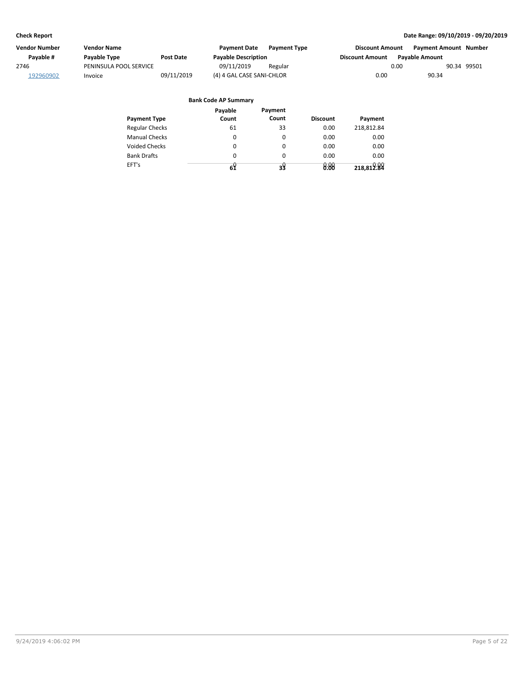| Vendor Number | Vendor Name            |            | <b>Payment Date</b>        | <b>Payment Type</b> | <b>Discount Amount</b> |                       | Payment Amount Number |  |
|---------------|------------------------|------------|----------------------------|---------------------|------------------------|-----------------------|-----------------------|--|
| Pavable #     | Payable Type           | Post Date  | <b>Payable Description</b> |                     | <b>Discount Amount</b> | <b>Pavable Amount</b> |                       |  |
| 2746          | PENINSULA POOL SERVICE |            | 09/11/2019                 | Regular             | 0.00                   |                       | 90.34 99501           |  |
| 192960902     | Invoice                | 09/11/2019 | (4) 4 GAL CASE SANI-CHLOR  |                     | 0.00                   | 90.34                 |                       |  |

|                       | Payable | Payment  |                 |            |
|-----------------------|---------|----------|-----------------|------------|
| <b>Payment Type</b>   | Count   | Count    | <b>Discount</b> | Payment    |
| <b>Regular Checks</b> | 61      | 33       | 0.00            | 218.812.84 |
| <b>Manual Checks</b>  | 0       | 0        | 0.00            | 0.00       |
| <b>Voided Checks</b>  | 0       | $\Omega$ | 0.00            | 0.00       |
| <b>Bank Drafts</b>    | 0       | $\Omega$ | 0.00            | 0.00       |
| EFT's                 | 64      | 38       | 0.00            | 218,812.84 |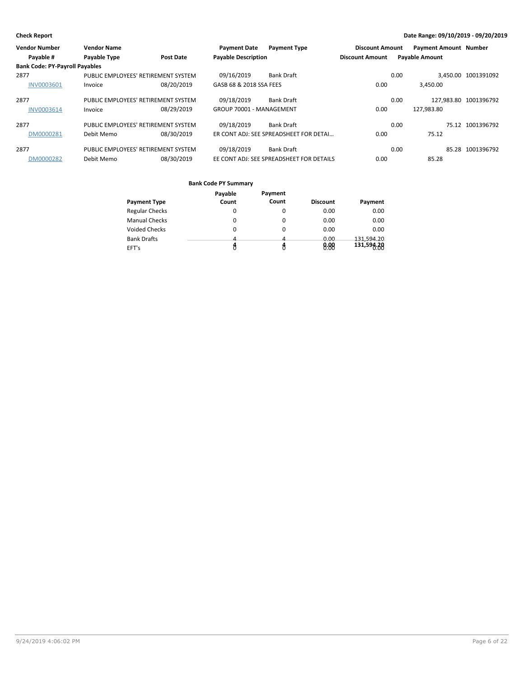| <b>Vendor Number</b>                  | <b>Vendor Name</b>  |                                     | <b>Payment Date</b>        | <b>Payment Type</b>                      | <b>Discount Amount</b> |      | <b>Payment Amount Number</b> |                       |
|---------------------------------------|---------------------|-------------------------------------|----------------------------|------------------------------------------|------------------------|------|------------------------------|-----------------------|
| Payable #                             | <b>Payable Type</b> | <b>Post Date</b>                    | <b>Payable Description</b> |                                          | <b>Discount Amount</b> |      | <b>Payable Amount</b>        |                       |
| <b>Bank Code: PY-Payroll Payables</b> |                     |                                     |                            |                                          |                        |      |                              |                       |
| 2877                                  |                     | PUBLIC EMPLOYEES' RETIREMENT SYSTEM | 09/16/2019                 | <b>Bank Draft</b>                        |                        | 0.00 |                              | 3.450.00 1001391092   |
| <b>INV0003601</b>                     | Invoice             | 08/20/2019                          | GASB 68 & 2018 SSA FEES    |                                          | 0.00                   |      | 3.450.00                     |                       |
| 2877                                  |                     | PUBLIC EMPLOYEES' RETIREMENT SYSTEM | 09/18/2019                 | <b>Bank Draft</b>                        |                        | 0.00 |                              | 127.983.80 1001396792 |
| INV0003614                            | Invoice             | 08/29/2019                          | GROUP 70001 - MANAGEMENT   |                                          | 0.00                   |      | 127.983.80                   |                       |
| 2877                                  |                     | PUBLIC EMPLOYEES' RETIREMENT SYSTEM | 09/18/2019                 | <b>Bank Draft</b>                        |                        | 0.00 |                              | 75.12 1001396792      |
| DM0000281                             | Debit Memo          | 08/30/2019                          |                            | ER CONT ADJ: SEE SPREADSHEET FOR DETAI   | 0.00                   |      | 75.12                        |                       |
| 2877                                  |                     | PUBLIC EMPLOYEES' RETIREMENT SYSTEM | 09/18/2019                 | <b>Bank Draft</b>                        |                        | 0.00 |                              | 85.28 1001396792      |
| DM0000282                             | Debit Memo          | 08/30/2019                          |                            | EE CONT ADJ: SEE SPREADSHEET FOR DETAILS | 0.00                   |      | 85.28                        |                       |

| <b>Payment Type</b>   | Payable<br>Count | Payment<br>Count | <b>Discount</b> | Payment    |
|-----------------------|------------------|------------------|-----------------|------------|
| <b>Regular Checks</b> | 0                | 0                | 0.00            | 0.00       |
| <b>Manual Checks</b>  | 0                | 0                | 0.00            | 0.00       |
| Voided Checks         | 0                | 0                | 0.00            | 0.00       |
| <b>Bank Drafts</b>    | 4                | Δ                | 0.00            | 131.594.20 |
| EFT's                 |                  |                  | 8:88            | 131,594.20 |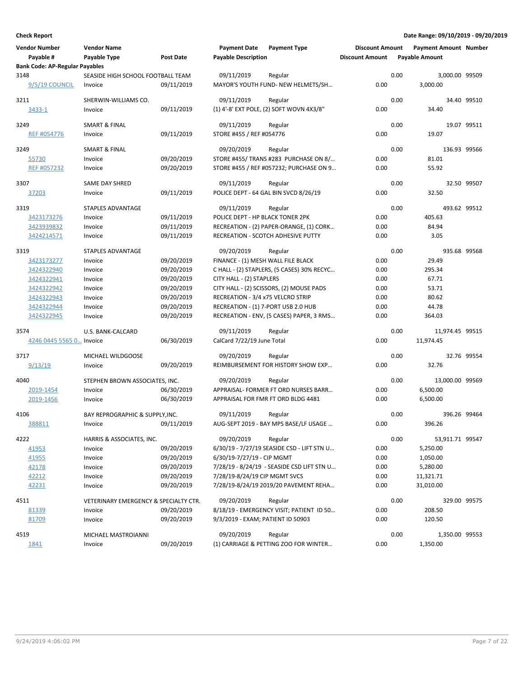| <b>Vendor Number</b><br>Payable #     | <b>Vendor Name</b><br>Payable Type    | <b>Post Date</b>         | <b>Payment Date</b><br><b>Payable Description</b> | <b>Payment Type</b>                                                           | <b>Discount Amount</b><br><b>Discount Amount</b> |      | <b>Payment Amount Number</b><br><b>Payable Amount</b> |             |
|---------------------------------------|---------------------------------------|--------------------------|---------------------------------------------------|-------------------------------------------------------------------------------|--------------------------------------------------|------|-------------------------------------------------------|-------------|
| <b>Bank Code: AP-Regular Payables</b> |                                       |                          |                                                   |                                                                               |                                                  |      |                                                       |             |
| 3148                                  | SEASIDE HIGH SCHOOL FOOTBALL TEAM     |                          | 09/11/2019                                        | Regular                                                                       |                                                  | 0.00 | 3,000.00 99509                                        |             |
| 9/5/19 COUNCIL                        | Invoice                               | 09/11/2019               |                                                   | MAYOR'S YOUTH FUND- NEW HELMETS/SH                                            | 0.00                                             |      | 3,000.00                                              |             |
| 3211                                  | SHERWIN-WILLIAMS CO.                  |                          | 09/11/2019                                        | Regular                                                                       |                                                  | 0.00 |                                                       | 34.40 99510 |
| 3433-1                                | Invoice                               | 09/11/2019               |                                                   | (1) 4'-8' EXT POLE, (2) SOFT WOVN 4X3/8"                                      | 0.00                                             |      | 34.40                                                 |             |
|                                       |                                       |                          |                                                   |                                                                               |                                                  |      |                                                       |             |
| 3249                                  | <b>SMART &amp; FINAL</b>              |                          | 09/11/2019                                        | Regular                                                                       |                                                  | 0.00 |                                                       | 19.07 99511 |
| REF #054776                           | Invoice                               | 09/11/2019               | STORE #455 / REF #054776                          |                                                                               | 0.00                                             |      | 19.07                                                 |             |
| 3249                                  | SMART & FINAL                         |                          | 09/20/2019                                        | Regular                                                                       |                                                  | 0.00 | 136.93 99566                                          |             |
| 55730                                 | Invoice                               | 09/20/2019               |                                                   | STORE #455/TRANS #283 PURCHASE ON 8/                                          | 0.00                                             |      | 81.01                                                 |             |
| REF #057232                           | Invoice                               | 09/20/2019               |                                                   | STORE #455 / REF #057232; PURCHASE ON 9                                       | 0.00                                             |      | 55.92                                                 |             |
|                                       |                                       |                          |                                                   |                                                                               |                                                  |      |                                                       |             |
| 3307                                  | SAME DAY SHRED                        |                          | 09/11/2019                                        | Regular                                                                       |                                                  | 0.00 |                                                       | 32.50 99507 |
| 37203                                 | Invoice                               | 09/11/2019               |                                                   | POLICE DEPT - 64 GAL BIN SVCD 8/26/19                                         | 0.00                                             |      | 32.50                                                 |             |
|                                       | <b>STAPLES ADVANTAGE</b>              |                          |                                                   |                                                                               |                                                  |      |                                                       |             |
| 3319                                  |                                       |                          | 09/11/2019                                        | Regular                                                                       |                                                  | 0.00 | 493.62 99512                                          |             |
| 3423173276                            | Invoice                               | 09/11/2019               | POLICE DEPT - HP BLACK TONER 2PK                  |                                                                               | 0.00                                             |      | 405.63                                                |             |
| 3423939832                            | Invoice                               | 09/11/2019<br>09/11/2019 |                                                   | RECREATION - (2) PAPER-ORANGE, (1) CORK<br>RECREATION - SCOTCH ADHESIVE PUTTY | 0.00<br>0.00                                     |      | 84.94<br>3.05                                         |             |
| 3424214571                            | Invoice                               |                          |                                                   |                                                                               |                                                  |      |                                                       |             |
| 3319                                  | STAPLES ADVANTAGE                     |                          | 09/20/2019                                        | Regular                                                                       |                                                  | 0.00 | 935.68 99568                                          |             |
| 3423173277                            | Invoice                               | 09/20/2019               | FINANCE - (1) MESH WALL FILE BLACK                |                                                                               | 0.00                                             |      | 29.49                                                 |             |
| 3424322940                            | Invoice                               | 09/20/2019               |                                                   | C HALL - (2) STAPLERS, (5 CASES) 30% RECYC                                    | 0.00                                             |      | 295.34                                                |             |
| 3424322941                            | Invoice                               | 09/20/2019               | CITY HALL - (2) STAPLERS                          |                                                                               | 0.00                                             |      | 67.71                                                 |             |
| 3424322942                            | Invoice                               | 09/20/2019               |                                                   | CITY HALL - (2) SCISSORS, (2) MOUSE PADS                                      | 0.00                                             |      | 53.71                                                 |             |
| 3424322943                            | Invoice                               | 09/20/2019               | RECREATION - 3/4 x75 VELCRO STRIP                 |                                                                               | 0.00                                             |      | 80.62                                                 |             |
| 3424322944                            | Invoice                               | 09/20/2019               |                                                   | RECREATION - (1) 7-PORT USB 2.0 HUB                                           | 0.00                                             |      | 44.78                                                 |             |
| 3424322945                            | Invoice                               | 09/20/2019               |                                                   | RECREATION - ENV, (5 CASES) PAPER, 3 RMS                                      | 0.00                                             |      | 364.03                                                |             |
|                                       |                                       |                          |                                                   |                                                                               |                                                  |      |                                                       |             |
| 3574                                  | U.S. BANK-CALCARD                     |                          | 09/11/2019                                        | Regular                                                                       |                                                  | 0.00 | 11,974.45 99515                                       |             |
| 4246 0445 5565 0 Invoice              |                                       | 06/30/2019               | CalCard 7/22/19 June Total                        |                                                                               | 0.00                                             |      | 11,974.45                                             |             |
| 3717                                  | MICHAEL WILDGOOSE                     |                          | 09/20/2019                                        | Regular                                                                       |                                                  | 0.00 |                                                       | 32.76 99554 |
| 9/13/19                               | Invoice                               | 09/20/2019               |                                                   | REIMBURSEMENT FOR HISTORY SHOW EXP                                            | 0.00                                             |      | 32.76                                                 |             |
|                                       |                                       |                          |                                                   |                                                                               |                                                  |      |                                                       |             |
| 4040                                  | STEPHEN BROWN ASSOCIATES, INC.        |                          | 09/20/2019                                        | Regular                                                                       |                                                  | 0.00 | 13,000.00 99569                                       |             |
| 2019-1454                             | Invoice                               | 06/30/2019               |                                                   | APPRAISAL- FORMER FT ORD NURSES BARR                                          | 0.00                                             |      | 6,500.00                                              |             |
| 2019-1456                             | Invoice                               | 06/30/2019               |                                                   | APPRAISAL FOR FMR FT ORD BLDG 4481                                            | 0.00                                             |      | 6,500.00                                              |             |
| 4106                                  | BAY REPROGRAPHIC & SUPPLY, INC.       |                          | 09/11/2019                                        | Regular                                                                       |                                                  | 0.00 | 396.26 99464                                          |             |
| 388811                                | Invoice                               | 09/11/2019               |                                                   | AUG-SEPT 2019 - BAY MPS BASE/LF USAGE                                         | 0.00                                             |      | 396.26                                                |             |
|                                       |                                       |                          |                                                   |                                                                               |                                                  |      |                                                       |             |
| 4222                                  | HARRIS & ASSOCIATES, INC.             |                          | 09/20/2019                                        | Regular                                                                       |                                                  | 0.00 | 53,911.71 99547                                       |             |
| 41953                                 | Invoice                               | 09/20/2019               |                                                   | 6/30/19 - 7/27/19 SEASIDE CSD - LIFT STN U                                    | 0.00                                             |      | 5,250.00                                              |             |
| 41955                                 | Invoice                               | 09/20/2019               | 6/30/19-7/27/19 - CIP MGMT                        |                                                                               | 0.00                                             |      | 1,050.00                                              |             |
| 42178                                 | Invoice                               | 09/20/2019               |                                                   | 7/28/19 - 8/24/19 - SEASIDE CSD LIFT STN U                                    | 0.00                                             |      | 5,280.00                                              |             |
| 42212                                 | Invoice                               | 09/20/2019               | 7/28/19-8/24/19 CIP MGMT SVCS                     |                                                                               | 0.00                                             |      | 11,321.71                                             |             |
| 42231                                 | Invoice                               | 09/20/2019               |                                                   | 7/28/19-8/24/19 2019/20 PAVEMENT REHA                                         | 0.00                                             |      | 31,010.00                                             |             |
|                                       |                                       |                          |                                                   |                                                                               |                                                  |      |                                                       |             |
| 4511                                  | VETERINARY EMERGENCY & SPECIALTY CTR. |                          | 09/20/2019                                        | Regular                                                                       |                                                  | 0.00 | 329.00 99575                                          |             |
| 81339                                 | Invoice                               | 09/20/2019               |                                                   | 8/18/19 - EMERGENCY VISIT; PATIENT ID 50                                      | 0.00                                             |      | 208.50                                                |             |
| 81709                                 | Invoice                               | 09/20/2019               | 9/3/2019 - EXAM; PATIENT ID 50903                 |                                                                               | 0.00                                             |      | 120.50                                                |             |
| 4519                                  | MICHAEL MASTROIANNI                   |                          | 09/20/2019                                        | Regular                                                                       |                                                  | 0.00 | 1,350.00 99553                                        |             |
| 1841                                  | Invoice                               | 09/20/2019               |                                                   | (1) CARRIAGE & PETTING ZOO FOR WINTER                                         | 0.00                                             |      | 1,350.00                                              |             |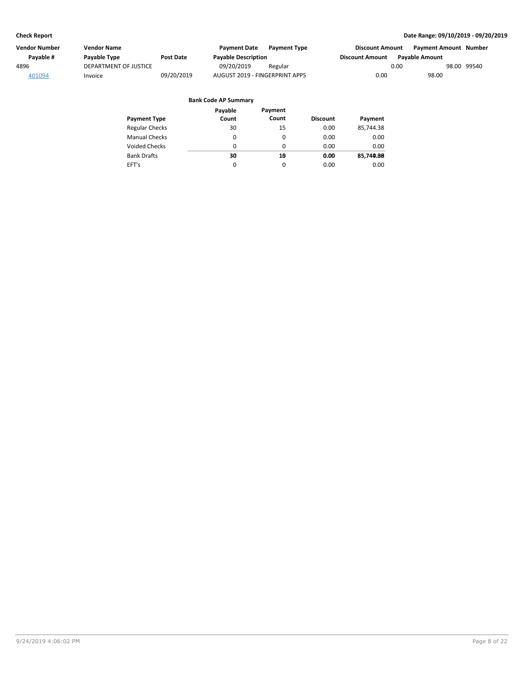| Vendor Number | Vendor Name           |                  | <b>Payment Date</b>            | <b>Payment Type</b> | <b>Discount Amount</b> | Payment Amount Number |             |
|---------------|-----------------------|------------------|--------------------------------|---------------------|------------------------|-----------------------|-------------|
| Pavable #     | Payable Type          | <b>Post Date</b> | <b>Payable Description</b>     |                     | <b>Discount Amount</b> | <b>Pavable Amount</b> |             |
| 4896          | DEPARTMENT OF JUSTICE |                  | 09/20/2019                     | Regular             |                        | 0.00                  | 98.00 99540 |
| 401094        | Invoice               | 09/20/2019       | AUGUST 2019 - FINGERPRINT APPS |                     | 0.00                   | 98.00                 |             |

| <b>Payment Type</b>   | Payable<br>Count | Payment<br>Count | <b>Discount</b> | Payment   |
|-----------------------|------------------|------------------|-----------------|-----------|
| <b>Regular Checks</b> | 30               | 15               | 0.00            | 85,744.38 |
| <b>Manual Checks</b>  | 0                | 0                | 0.00            | 0.00      |
| <b>Voided Checks</b>  | 0                | 0                | 0.00            | 0.00      |
| <b>Bank Drafts</b>    | 30               | 10               | 0.00            | 85,740.88 |
| EFT's                 | 0                | 0                | 0.00            | 0.00      |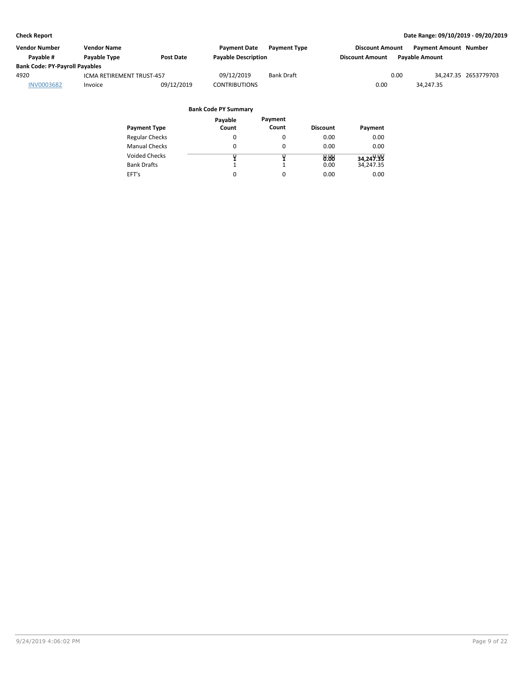| Vendor Number                         | <b>Vendor Name</b>        |                  | <b>Payment Date</b>        | <b>Payment Type</b> | <b>Discount Amount</b> |                       | <b>Payment Amount Number</b> |                      |
|---------------------------------------|---------------------------|------------------|----------------------------|---------------------|------------------------|-----------------------|------------------------------|----------------------|
| Pavable #                             | <b>Pavable Type</b>       | <b>Post Date</b> | <b>Payable Description</b> |                     | <b>Discount Amount</b> | <b>Pavable Amount</b> |                              |                      |
| <b>Bank Code: PY-Payroll Payables</b> |                           |                  |                            |                     |                        |                       |                              |                      |
| 4920                                  | ICMA RETIREMENT TRUST-457 |                  | 09/12/2019                 | <b>Bank Draft</b>   |                        | 0.00                  |                              | 34,247.35 2653779703 |
| <b>INV0003682</b>                     | Invoice                   | 09/12/2019       | <b>CONTRIBUTIONS</b>       |                     | 0.00                   |                       | 34.247.35                    |                      |

|                       | Payable | Payment  |                 |           |
|-----------------------|---------|----------|-----------------|-----------|
| <b>Payment Type</b>   | Count   | Count    | <b>Discount</b> | Payment   |
| <b>Regular Checks</b> | 0       |          | 0.00            | 0.00      |
| <b>Manual Checks</b>  | 0       | 0        | 0.00            | 0.00      |
| <b>Voided Checks</b>  |         |          | 0.00            | 34,249.99 |
| <b>Bank Drafts</b>    |         |          | 0.00            | 34,247.35 |
| EFT's                 | 0       | $\Omega$ | 0.00            | 0.00      |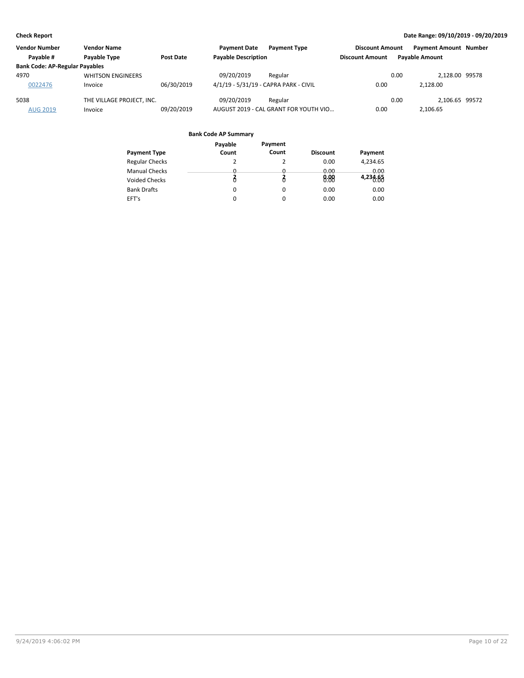| <b>Vendor Number</b>                  | <b>Vendor Name</b>        |            | <b>Payment Date</b><br><b>Payment Type</b> | <b>Discount Amount</b> | <b>Payment Amount Number</b> |  |
|---------------------------------------|---------------------------|------------|--------------------------------------------|------------------------|------------------------------|--|
| Pavable #                             | <b>Pavable Type</b>       | Post Date  | <b>Payable Description</b>                 | <b>Discount Amount</b> | <b>Pavable Amount</b>        |  |
| <b>Bank Code: AP-Regular Payables</b> |                           |            |                                            |                        |                              |  |
| 4970                                  | <b>WHITSON ENGINEERS</b>  |            | 09/20/2019<br>Regular                      | 0.00                   | 2.128.00 99578               |  |
| 0022476                               | Invoice                   | 06/30/2019 | 4/1/19 - 5/31/19 - CAPRA PARK - CIVIL      | 0.00                   | 2.128.00                     |  |
| 5038                                  | THE VILLAGE PROJECT. INC. |            | 09/20/2019<br>Regular                      | 0.00                   | 2.106.65 99572               |  |
| <b>AUG 2019</b>                       | Invoice                   | 09/20/2019 | AUGUST 2019 - CAL GRANT FOR YOUTH VIO      | 0.00                   | 2,106.65                     |  |

|                       | Payable  | Payment  |                 |          |
|-----------------------|----------|----------|-----------------|----------|
| <b>Payment Type</b>   | Count    | Count    | <b>Discount</b> | Payment  |
| <b>Regular Checks</b> | 2        | 2        | 0.00            | 4,234.65 |
| <b>Manual Checks</b>  | 0        | 0        | 0.00            | 0.00     |
| <b>Voided Checks</b>  |          |          | 8.88            | 4,234.65 |
| <b>Bank Drafts</b>    | $\Omega$ | 0        | 0.00            | 0.00     |
| EFT's                 | 0        | $\Omega$ | 0.00            | 0.00     |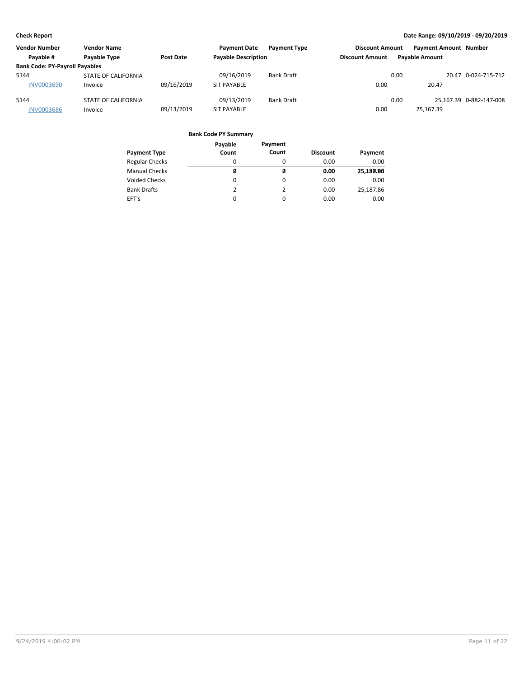| <b>Vendor Number</b>                  | <b>Vendor Name</b>  |            | <b>Payment Date</b>        | <b>Payment Type</b> | <b>Discount Amount</b> |      | <b>Payment Amount Number</b> |                         |
|---------------------------------------|---------------------|------------|----------------------------|---------------------|------------------------|------|------------------------------|-------------------------|
| Payable #                             | Payable Type        | Post Date  | <b>Payable Description</b> |                     | <b>Discount Amount</b> |      | <b>Pavable Amount</b>        |                         |
| <b>Bank Code: PY-Payroll Payables</b> |                     |            |                            |                     |                        |      |                              |                         |
| 5144                                  | STATE OF CALIFORNIA |            | 09/16/2019                 | Bank Draft          |                        | 0.00 |                              | 20.47 0-024-715-712     |
| <b>INV0003690</b>                     | Invoice             | 09/16/2019 | <b>SIT PAYABLE</b>         |                     | 0.00                   |      | 20.47                        |                         |
| 5144                                  | STATE OF CALIFORNIA |            | 09/13/2019                 | Bank Draft          |                        | 0.00 |                              | 25.167.39 0-882-147-008 |
| <b>INV0003686</b>                     | Invoice             | 09/13/2019 | <b>SIT PAYABLE</b>         |                     | 0.00                   |      | 25.167.39                    |                         |

|                       | Payable  | Payment  |                 |           |
|-----------------------|----------|----------|-----------------|-----------|
| <b>Payment Type</b>   | Count    | Count    | <b>Discount</b> | Payment   |
| <b>Regular Checks</b> | $\Omega$ | 0        | 0.00            | 0.00      |
| <b>Manual Checks</b>  | ø        | ø        | 0.00            | 25,180.86 |
| <b>Voided Checks</b>  | 0        | $\Omega$ | 0.00            | 0.00      |
| <b>Bank Drafts</b>    | 2        | 2        | 0.00            | 25,187.86 |
| EFT's                 | 0        | 0        | 0.00            | 0.00      |
|                       |          |          |                 |           |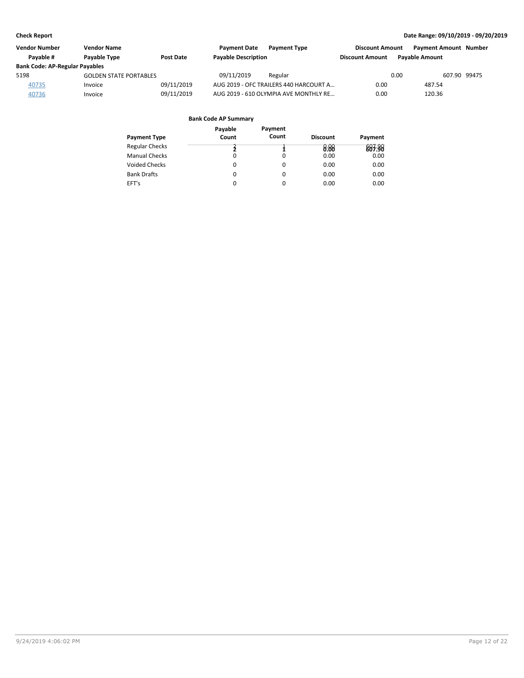| <b>Vendor Number</b>                  | <b>Vendor Name</b>            |            | <b>Payment Date</b><br><b>Payment Type</b> | <b>Discount Amount</b> | <b>Payment Amount Number</b> |              |
|---------------------------------------|-------------------------------|------------|--------------------------------------------|------------------------|------------------------------|--------------|
| Pavable #                             | <b>Pavable Type</b>           | Post Date  | <b>Payable Description</b>                 | <b>Discount Amount</b> | <b>Pavable Amount</b>        |              |
| <b>Bank Code: AP-Regular Payables</b> |                               |            |                                            |                        |                              |              |
| 5198                                  | <b>GOLDEN STATE PORTABLES</b> |            | 09/11/2019<br>Regular                      |                        | 0.00                         | 607.90 99475 |
| 40735                                 | Invoice                       | 09/11/2019 | AUG 2019 - OFC TRAILERS 440 HARCOURT A     | 0.00                   | 487.54                       |              |
| 40736                                 | Invoice                       | 09/11/2019 | AUG 2019 - 610 OLYMPIA AVE MONTHLY RE      | 0.00                   | 120.36                       |              |

| Payment Type          | Payable<br>Count | Payment<br>Count | <b>Discount</b> | Payment |
|-----------------------|------------------|------------------|-----------------|---------|
| <b>Regular Checks</b> |                  |                  | 0.88            | 883.38  |
| <b>Manual Checks</b>  | 0                |                  | 0.00            | 0.00    |
| <b>Voided Checks</b>  | 0                | 0                | 0.00            | 0.00    |
| <b>Bank Drafts</b>    | 0                | 0                | 0.00            | 0.00    |
| EFT's                 | 0                | 0                | 0.00            | 0.00    |
|                       |                  |                  |                 |         |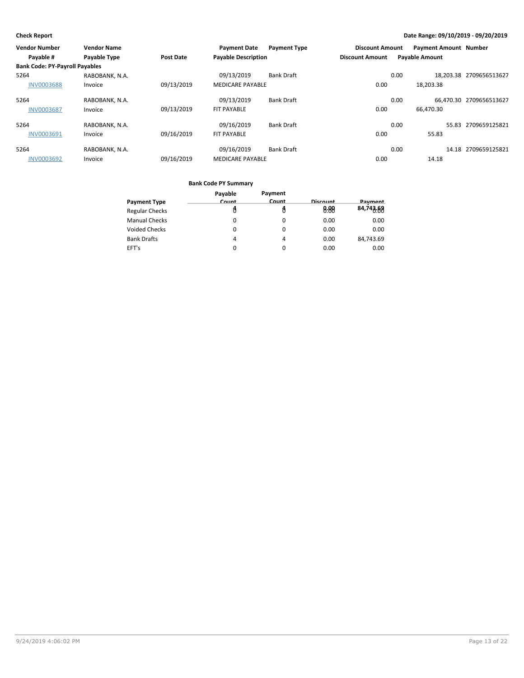| <b>Vendor Number</b>                  | <b>Vendor Name</b> |                  | <b>Payment Date</b>        | <b>Payment Type</b> | <b>Discount Amount</b> |      | <b>Payment Amount Number</b> |                         |
|---------------------------------------|--------------------|------------------|----------------------------|---------------------|------------------------|------|------------------------------|-------------------------|
| Payable #                             | Payable Type       | <b>Post Date</b> | <b>Payable Description</b> |                     | <b>Discount Amount</b> |      | <b>Payable Amount</b>        |                         |
| <b>Bank Code: PY-Payroll Payables</b> |                    |                  |                            |                     |                        |      |                              |                         |
| 5264                                  | RABOBANK, N.A.     |                  | 09/13/2019                 | <b>Bank Draft</b>   |                        | 0.00 |                              | 18.203.38 2709656513627 |
| <b>INV0003688</b>                     | Invoice            | 09/13/2019       | <b>MEDICARE PAYABLE</b>    |                     | 0.00                   |      | 18,203.38                    |                         |
| 5264                                  | RABOBANK, N.A.     |                  | 09/13/2019                 | <b>Bank Draft</b>   |                        | 0.00 |                              | 66.470.30 2709656513627 |
| <b>INV0003687</b>                     | Invoice            | 09/13/2019       | <b>FIT PAYABLE</b>         |                     | 0.00                   |      | 66,470.30                    |                         |
| 5264                                  | RABOBANK, N.A.     |                  | 09/16/2019                 | <b>Bank Draft</b>   |                        | 0.00 | 55.83                        | 2709659125821           |
| INV0003691                            | Invoice            | 09/16/2019       | <b>FIT PAYABLE</b>         |                     | 0.00                   |      | 55.83                        |                         |
| 5264                                  | RABOBANK, N.A.     |                  | 09/16/2019                 | <b>Bank Draft</b>   |                        | 0.00 |                              | 14.18 2709659125821     |
| <b>INV0003692</b>                     | Invoice            | 09/16/2019       | <b>MEDICARE PAYABLE</b>    |                     | 0.00                   |      | 14.18                        |                         |

|                       | Payable | Payment      |          |           |
|-----------------------|---------|--------------|----------|-----------|
| <b>Payment Type</b>   | Count   | <b>Count</b> | Discount | Payment   |
| <b>Regular Checks</b> |         |              | 0.88     | 84,743.69 |
| <b>Manual Checks</b>  |         | 0            | 0.00     | 0.00      |
| <b>Voided Checks</b>  | 0       | $\Omega$     | 0.00     | 0.00      |
| <b>Bank Drafts</b>    | 4       | 4            | 0.00     | 84,743.69 |
| EFT's                 | 0       | $\Omega$     | 0.00     | 0.00      |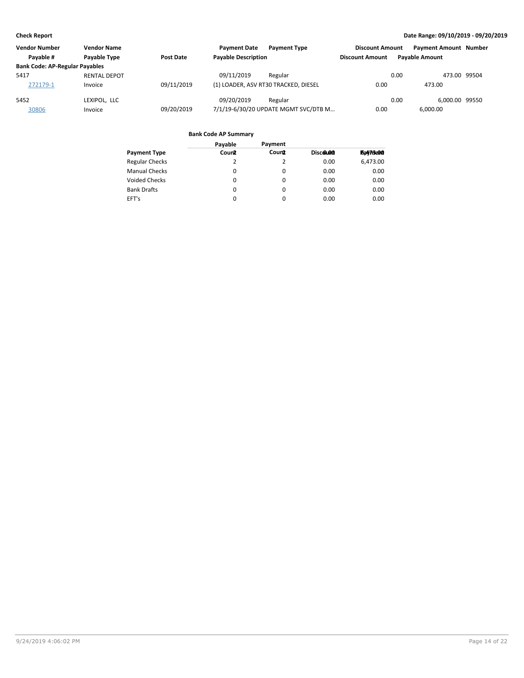| <b>Vendor Number</b>                  | <b>Vendor Name</b>  |            | <b>Payment Date</b><br><b>Payment Type</b> | <b>Discount Amount</b> | <b>Payment Amount Number</b> |  |
|---------------------------------------|---------------------|------------|--------------------------------------------|------------------------|------------------------------|--|
| Pavable #                             | <b>Pavable Type</b> | Post Date  | <b>Payable Description</b>                 | <b>Discount Amount</b> | <b>Pavable Amount</b>        |  |
| <b>Bank Code: AP-Regular Payables</b> |                     |            |                                            |                        |                              |  |
| 5417                                  | <b>RENTAL DEPOT</b> |            | 09/11/2019<br>Regular                      |                        | 0.00<br>473.00 99504         |  |
| 272179-1                              | Invoice             | 09/11/2019 | (1) LOADER, ASV RT30 TRACKED, DIESEL       | 0.00                   | 473.00                       |  |
| 5452                                  | LEXIPOL, LLC        |            | 09/20/2019<br>Regular                      |                        | 0.00<br>6.000.00 99550       |  |
| 30806                                 | Invoice             | 09/20/2019 | 7/1/19-6/30/20 UPDATE MGMT SVC/DTB M       | 0.00                   | 6.000.00                     |  |

|                       | Payable | Payment  |           |                 |
|-----------------------|---------|----------|-----------|-----------------|
| <b>Payment Type</b>   | Count   | Count    | Discolone | <b>Ba47Be00</b> |
| <b>Regular Checks</b> | 2       |          | 0.00      | 6,473.00        |
| <b>Manual Checks</b>  | 0       | 0        | 0.00      | 0.00            |
| <b>Voided Checks</b>  | 0       | $\Omega$ | 0.00      | 0.00            |
| <b>Bank Drafts</b>    | 0       | 0        | 0.00      | 0.00            |
| EFT's                 | 0       | $\Omega$ | 0.00      | 0.00            |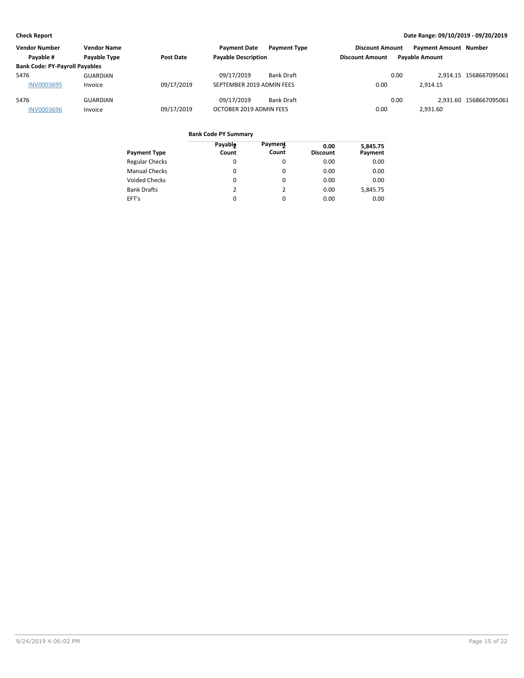| <b>Vendor Number</b>                  | <b>Vendor Name</b> |            | <b>Payment Date</b>        | <b>Payment Type</b> | <b>Discount Amount</b> |      | <b>Payment Amount Number</b> |                        |
|---------------------------------------|--------------------|------------|----------------------------|---------------------|------------------------|------|------------------------------|------------------------|
| Pavable #                             | Payable Type       | Post Date  | <b>Payable Description</b> |                     | <b>Discount Amount</b> |      | <b>Pavable Amount</b>        |                        |
| <b>Bank Code: PY-Payroll Payables</b> |                    |            |                            |                     |                        |      |                              |                        |
| 5476                                  | GUARDIAN           |            | 09/17/2019                 | <b>Bank Draft</b>   |                        | 0.00 |                              | 2.914.15 1568667095061 |
| <b>INV0003695</b>                     | Invoice            | 09/17/2019 | SEPTEMBER 2019 ADMIN FEES  |                     | 0.00                   |      | 2.914.15                     |                        |
| 5476                                  | <b>GUARDIAN</b>    |            | 09/17/2019                 | <b>Bank Draft</b>   |                        | 0.00 |                              | 2.931.60 1568667095061 |
| <b>INV0003696</b>                     | Invoice            | 09/17/2019 | OCTOBER 2019 ADMIN FEES    |                     | 0.00                   |      | 2,931.60                     |                        |

| <b>Payment Type</b>   | Payable<br>Count | <b>Payment</b><br>Count | 0.00<br><b>Discount</b> | 5,845.75<br>Payment |
|-----------------------|------------------|-------------------------|-------------------------|---------------------|
| <b>Regular Checks</b> | $\Omega$         | 0                       | 0.00                    | 0.00                |
| <b>Manual Checks</b>  | 0                | $\Omega$                | 0.00                    | 0.00                |
| <b>Voided Checks</b>  | 0                | $\Omega$                | 0.00                    | 0.00                |
| <b>Bank Drafts</b>    | 2                | $\mathcal{P}$           | 0.00                    | 5.845.75            |
| EFT's                 | $\Omega$         | $\Omega$                | 0.00                    | 0.00                |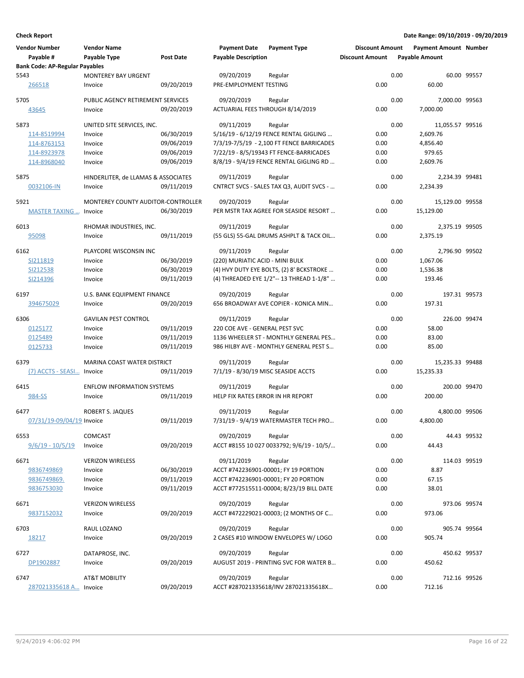| <b>Vendor Number</b><br>Payable #     | <b>Vendor Name</b><br>Payable Type            | <b>Post Date</b> | <b>Payment Date</b><br><b>Payable Description</b> | <b>Payment Type</b>                       | <b>Discount Amount</b><br><b>Discount Amount</b> |      | <b>Payment Amount Number</b><br><b>Payable Amount</b> |             |
|---------------------------------------|-----------------------------------------------|------------------|---------------------------------------------------|-------------------------------------------|--------------------------------------------------|------|-------------------------------------------------------|-------------|
| <b>Bank Code: AP-Regular Payables</b> |                                               |                  |                                                   |                                           |                                                  |      |                                                       |             |
| 5543                                  | <b>MONTEREY BAY URGENT</b>                    |                  | 09/20/2019                                        | Regular                                   |                                                  | 0.00 |                                                       | 60.00 99557 |
| 266518                                | Invoice                                       | 09/20/2019       | PRE-EMPLOYMENT TESTING                            |                                           | 0.00                                             |      | 60.00                                                 |             |
| 5705                                  | PUBLIC AGENCY RETIREMENT SERVICES             |                  | 09/20/2019                                        | Regular                                   |                                                  | 0.00 | 7,000.00 99563                                        |             |
| 43645                                 | Invoice                                       | 09/20/2019       | ACTUARIAL FEES THROUGH 8/14/2019                  |                                           | 0.00                                             |      | 7,000.00                                              |             |
| 5873                                  | UNITED SITE SERVICES, INC.                    |                  | 09/11/2019                                        | Regular                                   |                                                  | 0.00 | 11,055.57 99516                                       |             |
| 114-8519994                           | Invoice                                       | 06/30/2019       |                                                   | 5/16/19 - 6/12/19 FENCE RENTAL GIGLING    | 0.00                                             |      | 2,609.76                                              |             |
| 114-8763153                           | Invoice                                       | 09/06/2019       |                                                   | 7/3/19-7/5/19 - 2,100 FT FENCE BARRICADES | 0.00                                             |      | 4,856.40                                              |             |
| 114-8923978                           | Invoice                                       | 09/06/2019       |                                                   | 7/22/19 - 8/5/19343 FT FENCE-BARRICADES   | 0.00                                             |      | 979.65                                                |             |
| 114-8968040                           | Invoice                                       | 09/06/2019       |                                                   | 8/8/19 - 9/4/19 FENCE RENTAL GIGLING RD   | 0.00                                             |      | 2,609.76                                              |             |
| 5875                                  | HINDERLITER, de LLAMAS & ASSOCIATES           |                  | 09/11/2019                                        | Regular                                   |                                                  | 0.00 | 2,234.39 99481                                        |             |
| 0032106-IN                            | Invoice                                       | 09/11/2019       |                                                   | CNTRCT SVCS - SALES TAX Q3, AUDIT SVCS -  | 0.00                                             |      | 2,234.39                                              |             |
| 5921                                  | MONTEREY COUNTY AUDITOR-CONTROLLER            |                  | 09/20/2019                                        | Regular                                   |                                                  | 0.00 | 15,129.00 99558                                       |             |
| <b>MASTER TAXING </b>                 | Invoice                                       | 06/30/2019       |                                                   | PER MSTR TAX AGREE FOR SEASIDE RESORT     | 0.00                                             |      | 15,129.00                                             |             |
| 6013                                  | RHOMAR INDUSTRIES, INC.                       |                  | 09/11/2019                                        | Regular                                   |                                                  | 0.00 | 2,375.19 99505                                        |             |
| 95098                                 | Invoice                                       | 09/11/2019       |                                                   | (55 GLS) 55-GAL DRUMS ASHPLT & TACK OIL   | 0.00                                             |      | 2,375.19                                              |             |
| 6162                                  | PLAYCORE WISCONSIN INC                        |                  | 09/11/2019                                        | Regular                                   |                                                  | 0.00 | 2,796.90 99502                                        |             |
| SI211819                              | Invoice                                       | 06/30/2019       | (220) MURIATIC ACID - MINI BULK                   |                                           | 0.00                                             |      | 1,067.06                                              |             |
| SI212538                              | Invoice                                       | 06/30/2019       |                                                   | (4) HVY DUTY EYE BOLTS, (2) 8' BCKSTROKE  | 0.00                                             |      | 1,536.38                                              |             |
| SI214396                              | Invoice                                       | 09/11/2019       |                                                   | (4) THREADED EYE 1/2"-- 13 THREAD 1-1/8"  | 0.00                                             |      | 193.46                                                |             |
| 6197                                  | U.S. BANK EQUIPMENT FINANCE                   |                  | 09/20/2019                                        | Regular                                   |                                                  | 0.00 | 197.31 99573                                          |             |
| 394675029                             | Invoice                                       | 09/20/2019       |                                                   | 656 BROADWAY AVE COPIER - KONICA MIN      | 0.00                                             |      | 197.31                                                |             |
| 6306                                  | <b>GAVILAN PEST CONTROL</b>                   |                  | 09/11/2019                                        | Regular                                   |                                                  | 0.00 | 226.00 99474                                          |             |
| 0125177                               | Invoice                                       | 09/11/2019       | 220 COE AVE - GENERAL PEST SVC                    |                                           | 0.00                                             |      | 58.00                                                 |             |
| 0125489                               | Invoice                                       | 09/11/2019       |                                                   | 1136 WHEELER ST - MONTHLY GENERAL PES     | 0.00                                             |      | 83.00                                                 |             |
| 0125733                               | Invoice                                       | 09/11/2019       |                                                   | 986 HILBY AVE - MONTHLY GENERAL PEST S    | 0.00                                             |      | 85.00                                                 |             |
|                                       |                                               |                  |                                                   |                                           |                                                  |      |                                                       |             |
| 6379<br>(7) ACCTS - SEASI             | <b>MARINA COAST WATER DISTRICT</b><br>Invoice | 09/11/2019       | 09/11/2019<br>7/1/19 - 8/30/19 MISC SEASIDE ACCTS | Regular                                   | 0.00                                             | 0.00 | 15,235.33 99488<br>15,235.33                          |             |
|                                       |                                               |                  |                                                   |                                           |                                                  |      |                                                       |             |
| 6415<br>984-SS                        | <b>ENFLOW INFORMATION SYSTEMS</b>             | 09/11/2019       | 09/11/2019<br>HELP FIX RATES ERROR IN HR REPORT   | Regular                                   | 0.00                                             | 0.00 | 200.00 99470<br>200.00                                |             |
|                                       | Invoice                                       |                  |                                                   |                                           |                                                  |      |                                                       |             |
| 6477                                  | <b>ROBERT S. JAQUES</b>                       |                  | 09/11/2019                                        | Regular                                   |                                                  | 0.00 | 4.800.00 99506                                        |             |
| 07/31/19-09/04/19 Invoice             |                                               | 09/11/2019       |                                                   | 7/31/19 - 9/4/19 WATERMASTER TECH PRO     | 0.00                                             |      | 4,800.00                                              |             |
| 6553                                  | <b>COMCAST</b>                                |                  | 09/20/2019                                        | Regular                                   |                                                  | 0.00 |                                                       | 44.43 99532 |
| <u>9/6/19 - 10/5/19</u>               | Invoice                                       | 09/20/2019       |                                                   | ACCT #8155 10 027 0033792; 9/6/19 - 10/5/ | 0.00                                             |      | 44.43                                                 |             |
| 6671                                  | <b>VERIZON WIRELESS</b>                       |                  | 09/11/2019                                        | Regular                                   |                                                  | 0.00 | 114.03 99519                                          |             |
| 9836749869                            | Invoice                                       | 06/30/2019       |                                                   | ACCT #742236901-00001; FY 19 PORTION      | 0.00                                             |      | 8.87                                                  |             |
| 9836749869.                           | Invoice                                       | 09/11/2019       |                                                   | ACCT #742236901-00001; FY 20 PORTION      | 0.00                                             |      | 67.15                                                 |             |
| 9836753030                            | Invoice                                       | 09/11/2019       |                                                   | ACCT #772515511-00004; 8/23/19 BILL DATE  | 0.00                                             |      | 38.01                                                 |             |
| 6671                                  | <b>VERIZON WIRELESS</b>                       |                  | 09/20/2019                                        | Regular                                   |                                                  | 0.00 | 973.06 99574                                          |             |
| 9837152032                            | Invoice                                       | 09/20/2019       |                                                   | ACCT #472229021-00003; (2 MONTHS OF C     | 0.00                                             |      | 973.06                                                |             |
| 6703                                  | RAUL LOZANO                                   |                  | 09/20/2019                                        | Regular                                   |                                                  | 0.00 | 905.74 99564                                          |             |
| <u> 18217</u>                         | Invoice                                       | 09/20/2019       |                                                   | 2 CASES #10 WINDOW ENVELOPES W/ LOGO      | 0.00                                             |      | 905.74                                                |             |
| 6727                                  | DATAPROSE, INC.                               |                  | 09/20/2019                                        | Regular                                   |                                                  | 0.00 | 450.62 99537                                          |             |
| DP1902887                             | Invoice                                       | 09/20/2019       |                                                   | AUGUST 2019 - PRINTING SVC FOR WATER B    | 0.00                                             |      | 450.62                                                |             |
| 6747                                  | <b>AT&amp;T MOBILITY</b>                      |                  | 09/20/2019                                        | Regular                                   |                                                  | 0.00 | 712.16 99526                                          |             |
| 287021335618 A Invoice                |                                               | 09/20/2019       |                                                   | ACCT #287021335618/INV 287021335618X      | 0.00                                             |      | 712.16                                                |             |
|                                       |                                               |                  |                                                   |                                           |                                                  |      |                                                       |             |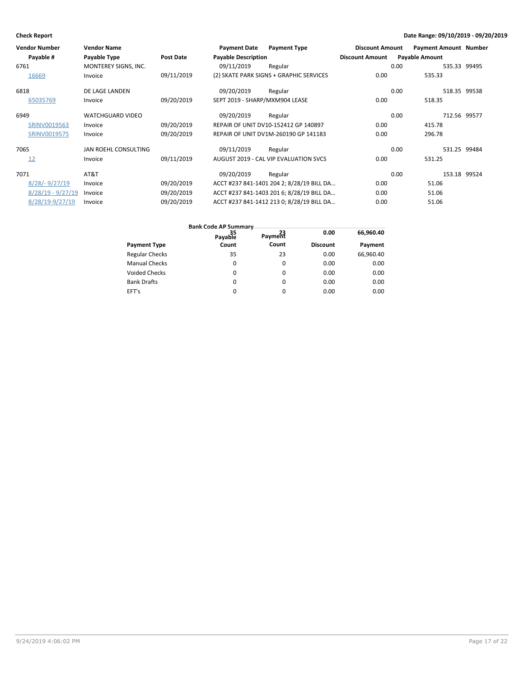| <b>Vendor Number</b> | <b>Vendor Name</b>      |                  | <b>Payment Date</b>            | <b>Payment Type</b>                       | <b>Discount Amount</b> | <b>Payment Amount Number</b> |              |
|----------------------|-------------------------|------------------|--------------------------------|-------------------------------------------|------------------------|------------------------------|--------------|
| Payable #            | Payable Type            | <b>Post Date</b> | <b>Payable Description</b>     |                                           | <b>Discount Amount</b> | <b>Payable Amount</b>        |              |
| 6761                 | MONTEREY SIGNS, INC.    |                  | 09/11/2019                     | Regular                                   |                        | 0.00                         | 535.33 99495 |
| 16669                | Invoice                 | 09/11/2019       |                                | (2) SKATE PARK SIGNS + GRAPHIC SERVICES   | 0.00                   | 535.33                       |              |
| 6818                 | DE LAGE LANDEN          |                  | 09/20/2019                     | Regular                                   |                        | 0.00                         | 518.35 99538 |
| 65035769             | Invoice                 | 09/20/2019       | SEPT 2019 - SHARP/MXM904 LEASE |                                           | 0.00                   | 518.35                       |              |
| 6949                 | <b>WATCHGUARD VIDEO</b> |                  | 09/20/2019                     | Regular                                   |                        | 0.00                         | 712.56 99577 |
| SRINV0019563         | Invoice                 | 09/20/2019       |                                | REPAIR OF UNIT DV10-152412 GP 140897      | 0.00                   | 415.78                       |              |
| SRINV0019575         | Invoice                 | 09/20/2019       |                                | REPAIR OF UNIT DV1M-260190 GP 141183      | 0.00                   | 296.78                       |              |
| 7065                 | JAN ROEHL CONSULTING    |                  | 09/11/2019                     | Regular                                   |                        | 0.00                         | 531.25 99484 |
| 12                   | Invoice                 | 09/11/2019       |                                | AUGUST 2019 - CAL VIP EVALUATION SVCS     | 0.00                   | 531.25                       |              |
| 7071                 | AT&T                    |                  | 09/20/2019                     | Regular                                   |                        | 0.00                         | 153.18 99524 |
| $8/28 - 9/27/19$     | Invoice                 | 09/20/2019       |                                | ACCT #237 841-1401 204 2; 8/28/19 BILL DA | 0.00                   | 51.06                        |              |
| $8/28/19 - 9/27/19$  | Invoice                 | 09/20/2019       |                                | ACCT #237 841-1403 201 6; 8/28/19 BILL DA | 0.00                   | 51.06                        |              |
| 8/28/19-9/27/19      | Invoice                 | 09/20/2019       |                                | ACCT #237 841-1412 213 0; 8/28/19 BILL DA | 0.00                   | 51.06                        |              |

|                       | 35<br>Payable | Payment | 0.00            | 66.960.40 |
|-----------------------|---------------|---------|-----------------|-----------|
| <b>Payment Type</b>   | Count         | Count   | <b>Discount</b> | Payment   |
| <b>Regular Checks</b> | 35            | 23      | 0.00            | 66.960.40 |
| <b>Manual Checks</b>  | 0             | 0       | 0.00            | 0.00      |
| <b>Voided Checks</b>  | 0             | 0       | 0.00            | 0.00      |
| <b>Bank Drafts</b>    | 0             | 0       | 0.00            | 0.00      |
| EFT's                 | 0             | 0       | 0.00            | 0.00      |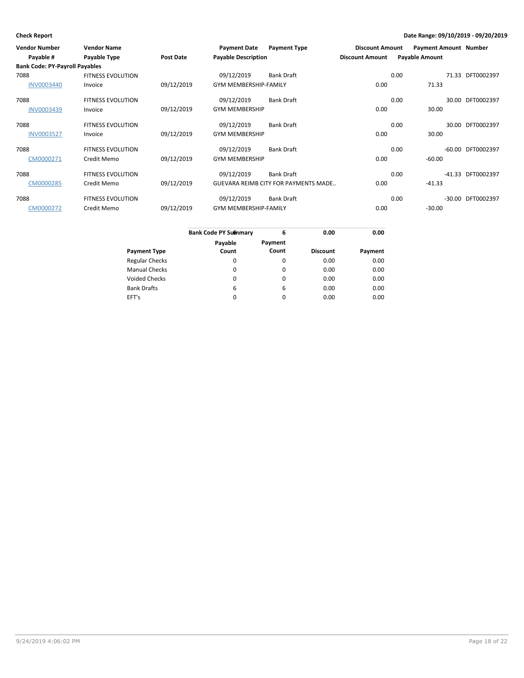| Vendor Number                         | <b>Vendor Name</b>       |                  | <b>Payment Date</b>          | <b>Payment Type</b>                         | <b>Discount Amount</b> |      | <b>Payment Amount Number</b> |                   |
|---------------------------------------|--------------------------|------------------|------------------------------|---------------------------------------------|------------------------|------|------------------------------|-------------------|
| Payable #                             | Payable Type             | <b>Post Date</b> | <b>Payable Description</b>   |                                             | <b>Discount Amount</b> |      | <b>Payable Amount</b>        |                   |
| <b>Bank Code: PY-Payroll Payables</b> |                          |                  |                              |                                             |                        |      |                              |                   |
| 7088                                  | <b>FITNESS EVOLUTION</b> |                  | 09/12/2019                   | Bank Draft                                  |                        | 0.00 |                              | 71.33 DFT0002397  |
| <b>INV0003440</b>                     | Invoice                  | 09/12/2019       | <b>GYM MEMBERSHIP-FAMILY</b> |                                             | 0.00                   |      | 71.33                        |                   |
| 7088                                  | <b>FITNESS EVOLUTION</b> |                  | 09/12/2019                   | Bank Draft                                  |                        | 0.00 |                              | 30.00 DFT0002397  |
| INV0003439                            | Invoice                  | 09/12/2019       | <b>GYM MEMBERSHIP</b>        |                                             | 0.00                   |      | 30.00                        |                   |
| 7088                                  | <b>FITNESS EVOLUTION</b> |                  | 09/12/2019                   | Bank Draft                                  |                        | 0.00 |                              | 30.00 DFT0002397  |
| <b>INV0003527</b>                     | Invoice                  | 09/12/2019       | <b>GYM MEMBERSHIP</b>        |                                             | 0.00                   |      | 30.00                        |                   |
| 7088                                  | <b>FITNESS EVOLUTION</b> |                  | 09/12/2019                   | <b>Bank Draft</b>                           |                        | 0.00 |                              | -60.00 DFT0002397 |
| CM0000271                             | Credit Memo              | 09/12/2019       | <b>GYM MEMBERSHIP</b>        |                                             | 0.00                   |      | $-60.00$                     |                   |
| 7088                                  | <b>FITNESS EVOLUTION</b> |                  | 09/12/2019                   | Bank Draft                                  |                        | 0.00 |                              | -41.33 DFT0002397 |
| CM0000285                             | Credit Memo              | 09/12/2019       |                              | <b>GUEVARA REIMB CITY FOR PAYMENTS MADE</b> | 0.00                   |      | $-41.33$                     |                   |
| 7088                                  | <b>FITNESS EVOLUTION</b> |                  | 09/12/2019                   | Bank Draft                                  |                        | 0.00 |                              | -30.00 DFT0002397 |
| CM0000272                             | Credit Memo              | 09/12/2019       | <b>GYM MEMBERSHIP-FAMILY</b> |                                             | 0.00                   |      | $-30.00$                     |                   |

|                       | <b>Bank Code PY Summary</b> | 6        | 0.00            | 0.00    |
|-----------------------|-----------------------------|----------|-----------------|---------|
|                       |                             |          |                 |         |
|                       | Payable                     | Payment  |                 |         |
| <b>Payment Type</b>   | Count                       | Count    | <b>Discount</b> | Payment |
| <b>Regular Checks</b> | 0                           | 0        | 0.00            | 0.00    |
| <b>Manual Checks</b>  | 0                           | $\Omega$ | 0.00            | 0.00    |
| Voided Checks         | $\Omega$                    | $\Omega$ | 0.00            | 0.00    |
| <b>Bank Drafts</b>    | 6                           | 6        | 0.00            | 0.00    |
| EFT's                 | $\Omega$                    | $\Omega$ | 0.00            | 0.00    |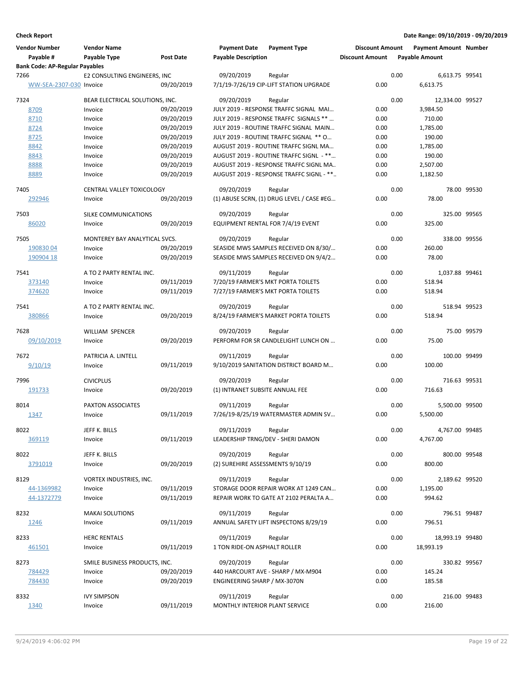| <b>Vendor Number</b><br>Payable #             | <b>Vendor Name</b><br>Payable Type       | <b>Post Date</b>         | <b>Payment Date</b><br><b>Payable Description</b> | <b>Payment Type</b>                       | <b>Discount Amount</b><br><b>Discount Amount</b> |      | <b>Payment Amount Number</b><br><b>Payable Amount</b> |             |
|-----------------------------------------------|------------------------------------------|--------------------------|---------------------------------------------------|-------------------------------------------|--------------------------------------------------|------|-------------------------------------------------------|-------------|
| <b>Bank Code: AP-Regular Payables</b><br>7266 | E2 CONSULTING ENGINEERS, INC             |                          | 09/20/2019                                        | Regular                                   |                                                  | 0.00 | 6,613.75 99541                                        |             |
| WW-SEA-2307-030 Invoice                       |                                          | 09/20/2019               |                                                   | 7/1/19-7/26/19 CIP-LIFT STATION UPGRADE   | 0.00                                             |      | 6,613.75                                              |             |
| 7324                                          | BEAR ELECTRICAL SOLUTIONS, INC.          |                          | 09/20/2019                                        | Regular                                   |                                                  | 0.00 | 12,334.00 99527                                       |             |
| 8709                                          | Invoice                                  | 09/20/2019               |                                                   | JULY 2019 - RESPONSE TRAFFC SIGNAL MAI    | 0.00                                             |      | 3,984.50                                              |             |
| 8710                                          | Invoice                                  | 09/20/2019               |                                                   | JULY 2019 - RESPONSE TRAFFC SIGNALS **    | 0.00                                             |      | 710.00                                                |             |
| 8724                                          | Invoice                                  | 09/20/2019               |                                                   | JULY 2019 - ROUTINE TRAFFC SIGNAL MAIN    | 0.00                                             |      | 1,785.00                                              |             |
| 8725                                          | Invoice                                  | 09/20/2019               |                                                   | JULY 2019 - ROUTINE TRAFFC SIGNAL ** O    | 0.00                                             |      | 190.00                                                |             |
| 8842                                          | Invoice                                  | 09/20/2019               |                                                   | AUGUST 2019 - ROUTINE TRAFFC SIGNL MA     | 0.00                                             |      | 1,785.00                                              |             |
| 8843                                          | Invoice                                  | 09/20/2019               |                                                   | AUGUST 2019 - ROUTINE TRAFFC SIGNL - **   | 0.00                                             |      | 190.00                                                |             |
| 8888                                          | Invoice                                  | 09/20/2019               |                                                   | AUGUST 2019 - RESPONSE TRAFFC SIGNL MA    | 0.00                                             |      | 2,507.00                                              |             |
| 8889                                          | Invoice                                  | 09/20/2019               |                                                   | AUGUST 2019 - RESPONSE TRAFFC SIGNL - **  | 0.00                                             |      | 1,182.50                                              |             |
| 7405                                          | CENTRAL VALLEY TOXICOLOGY                |                          | 09/20/2019                                        | Regular                                   |                                                  | 0.00 |                                                       | 78.00 99530 |
| 292946                                        | Invoice                                  | 09/20/2019               |                                                   | (1) ABUSE SCRN, (1) DRUG LEVEL / CASE #EG | 0.00                                             |      | 78.00                                                 |             |
| 7503                                          | SILKE COMMUNICATIONS                     |                          | 09/20/2019                                        | Regular                                   |                                                  | 0.00 | 325.00 99565                                          |             |
| 86020                                         | Invoice                                  | 09/20/2019               |                                                   | EQUIPMENT RENTAL FOR 7/4/19 EVENT         | 0.00                                             |      | 325.00                                                |             |
| 7505                                          | MONTEREY BAY ANALYTICAL SVCS.            |                          | 09/20/2019                                        | Regular                                   |                                                  | 0.00 | 338.00 99556                                          |             |
| 19083004                                      | Invoice                                  | 09/20/2019               |                                                   | SEASIDE MWS SAMPLES RECEIVED ON 8/30/     | 0.00                                             |      | 260.00                                                |             |
| 190904 18                                     | Invoice                                  | 09/20/2019               |                                                   | SEASIDE MWS SAMPLES RECEIVED ON 9/4/2     | 0.00                                             |      | 78.00                                                 |             |
| 7541                                          | A TO Z PARTY RENTAL INC.                 |                          | 09/11/2019                                        | Regular                                   |                                                  | 0.00 | 1,037.88 99461                                        |             |
| 373140                                        | Invoice                                  | 09/11/2019               |                                                   | 7/20/19 FARMER'S MKT PORTA TOILETS        | 0.00                                             |      | 518.94                                                |             |
| 374620                                        | Invoice                                  | 09/11/2019               |                                                   | 7/27/19 FARMER'S MKT PORTA TOILETS        | 0.00                                             |      | 518.94                                                |             |
| 7541                                          | A TO Z PARTY RENTAL INC.                 |                          | 09/20/2019                                        | Regular                                   |                                                  | 0.00 | 518.94 99523                                          |             |
| 380866                                        | Invoice                                  | 09/20/2019               |                                                   | 8/24/19 FARMER'S MARKET PORTA TOILETS     | 0.00                                             |      | 518.94                                                |             |
| 7628                                          | <b>WILLIAM SPENCER</b>                   |                          | 09/20/2019                                        | Regular                                   |                                                  | 0.00 |                                                       | 75.00 99579 |
| 09/10/2019                                    | Invoice                                  | 09/20/2019               |                                                   | PERFORM FOR SR CANDLELIGHT LUNCH ON       | 0.00                                             |      | 75.00                                                 |             |
| 7672                                          | PATRICIA A. LINTELL                      |                          | 09/11/2019                                        | Regular                                   |                                                  | 0.00 | 100.00 99499                                          |             |
| 9/10/19                                       | Invoice                                  | 09/11/2019               |                                                   | 9/10/2019 SANITATION DISTRICT BOARD M     | 0.00                                             |      | 100.00                                                |             |
|                                               |                                          |                          |                                                   |                                           |                                                  | 0.00 | 716.63 99531                                          |             |
| 7996<br>191733                                | <b>CIVICPLUS</b>                         | 09/20/2019               | 09/20/2019<br>(1) INTRANET SUBSITE ANNUAL FEE     | Regular                                   | 0.00                                             |      | 716.63                                                |             |
|                                               | Invoice                                  |                          |                                                   |                                           |                                                  |      |                                                       |             |
| 8014                                          | PAXTON ASSOCIATES                        |                          | 09/11/2019                                        | Regular                                   |                                                  | 0.00 | 5,500.00 99500                                        |             |
| 1347                                          | Invoice                                  | 09/11/2019               |                                                   | 7/26/19-8/25/19 WATERMASTER ADMIN SV      | 0.00                                             |      | 5,500.00                                              |             |
| 8022                                          | JEFF K. BILLS                            |                          | 09/11/2019                                        | Regular                                   |                                                  | 0.00 | 4,767.00 99485                                        |             |
| 369119                                        | Invoice                                  | 09/11/2019               |                                                   | LEADERSHIP TRNG/DEV - SHERI DAMON         | 0.00                                             |      | 4,767.00                                              |             |
|                                               |                                          |                          |                                                   |                                           |                                                  |      |                                                       |             |
| 8022                                          | JEFF K. BILLS                            |                          | 09/20/2019                                        | Regular                                   |                                                  | 0.00 | 800.00 99548                                          |             |
| 3791019                                       | Invoice                                  | 09/20/2019               | (2) SUREHIRE ASSESSMENTS 9/10/19                  |                                           | 0.00                                             |      | 800.00                                                |             |
| 8129                                          | VORTEX INDUSTRIES, INC.                  |                          | 09/11/2019                                        | Regular                                   |                                                  | 0.00 | 2,189.62 99520                                        |             |
| 44-1369982                                    | Invoice                                  | 09/11/2019               |                                                   | STORAGE DOOR REPAIR WORK AT 1249 CAN      | 0.00                                             |      | 1,195.00                                              |             |
| 44-1372779                                    | Invoice                                  | 09/11/2019               |                                                   | REPAIR WORK TO GATE AT 2102 PERALTA A     | 0.00                                             |      | 994.62                                                |             |
| 8232                                          | <b>MAKAI SOLUTIONS</b>                   |                          | 09/11/2019                                        | Regular                                   |                                                  | 0.00 | 796.51 99487                                          |             |
| <u>1246</u>                                   | Invoice                                  | 09/11/2019               |                                                   | ANNUAL SAFETY LIFT INSPECTONS 8/29/19     | 0.00                                             |      | 796.51                                                |             |
|                                               |                                          |                          |                                                   |                                           |                                                  |      |                                                       |             |
| 8233                                          | <b>HERC RENTALS</b>                      |                          | 09/11/2019                                        | Regular                                   |                                                  | 0.00 | 18,993.19 99480                                       |             |
| 461501                                        | Invoice                                  | 09/11/2019               | 1 TON RIDE-ON ASPHALT ROLLER                      |                                           | 0.00                                             |      | 18,993.19                                             |             |
|                                               |                                          |                          |                                                   |                                           |                                                  |      |                                                       |             |
| 8273                                          | SMILE BUSINESS PRODUCTS, INC.<br>Invoice |                          | 09/20/2019                                        | Regular                                   |                                                  | 0.00 | 330.82 99567                                          |             |
| 784429                                        |                                          | 09/20/2019<br>09/20/2019 | ENGINEERING SHARP / MX-3070N                      | 440 HARCOURT AVE - SHARP / MX-M904        | 0.00<br>0.00                                     |      | 145.24<br>185.58                                      |             |
| 784430                                        | Invoice                                  |                          |                                                   |                                           |                                                  |      |                                                       |             |
| 8332                                          | <b>IVY SIMPSON</b>                       |                          | 09/11/2019                                        | Regular                                   |                                                  | 0.00 | 216.00 99483                                          |             |
| 1340                                          | Invoice                                  | 09/11/2019               | MONTHLY INTERIOR PLANT SERVICE                    |                                           | 0.00                                             |      | 216.00                                                |             |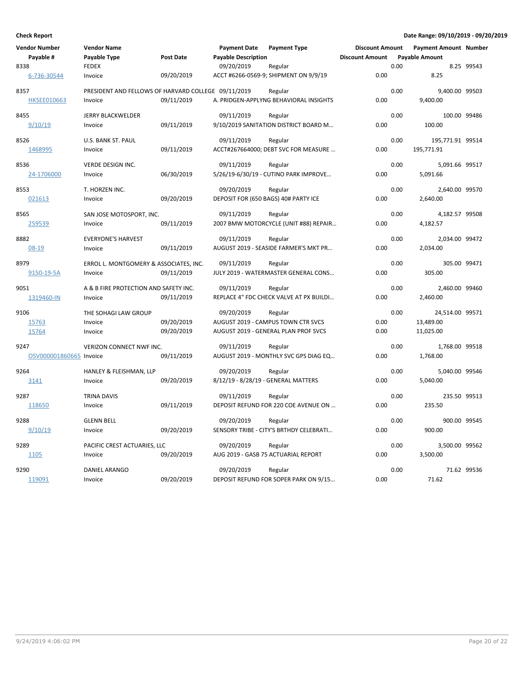| <b>Vendor Number</b>    | <b>Vendor Name</b>                                  |                  | <b>Payment Date</b>                 | <b>Payment Type</b>                              | <b>Discount Amount</b> |      | <b>Payment Amount Number</b> |             |
|-------------------------|-----------------------------------------------------|------------------|-------------------------------------|--------------------------------------------------|------------------------|------|------------------------------|-------------|
| Payable #               | Payable Type                                        | <b>Post Date</b> | <b>Payable Description</b>          |                                                  | <b>Discount Amount</b> |      | <b>Payable Amount</b>        |             |
| 8338                    | <b>FEDEX</b>                                        |                  | 09/20/2019                          | Regular                                          |                        | 0.00 |                              | 8.25 99543  |
| 6-736-30544             | Invoice                                             | 09/20/2019       |                                     | ACCT #6266-0569-9; SHIPMENT ON 9/9/19            | 0.00                   |      | 8.25                         |             |
| 8357                    | PRESIDENT AND FELLOWS OF HARVARD COLLEGE 09/11/2019 |                  |                                     | Regular                                          |                        | 0.00 | 9,400.00 99503               |             |
| <b>HKSEE010663</b>      | Invoice                                             | 09/11/2019       |                                     | A. PRIDGEN-APPLYNG BEHAVIORAL INSIGHTS           | 0.00                   |      | 9,400.00                     |             |
| 8455                    | <b>JERRY BLACKWELDER</b>                            |                  | 09/11/2019                          | Regular                                          |                        | 0.00 | 100.00 99486                 |             |
| 9/10/19                 | Invoice                                             | 09/11/2019       |                                     | 9/10/2019 SANITATION DISTRICT BOARD M            | 0.00                   |      | 100.00                       |             |
| 8526                    | U.S. BANK ST. PAUL                                  |                  | 09/11/2019                          | Regular                                          |                        | 0.00 | 195,771.91 99514             |             |
| 1468995                 | Invoice                                             | 09/11/2019       |                                     | ACCT#267664000; DEBT SVC FOR MEASURE             | 0.00                   |      | 195,771.91                   |             |
|                         |                                                     |                  |                                     |                                                  |                        |      |                              |             |
| 8536                    | <b>VERDE DESIGN INC.</b>                            |                  | 09/11/2019                          | Regular                                          |                        | 0.00 | 5,091.66 99517               |             |
| 24-1706000              | Invoice                                             | 06/30/2019       |                                     | 5/26/19-6/30/19 - CUTINO PARK IMPROVE            | 0.00                   |      | 5,091.66                     |             |
| 8553                    | T. HORZEN INC.                                      |                  | 09/20/2019                          | Regular                                          |                        | 0.00 | 2,640.00 99570               |             |
| 021613                  | Invoice                                             | 09/20/2019       |                                     | DEPOSIT FOR (650 BAGS) 40# PARTY ICE             | 0.00                   |      | 2,640.00                     |             |
| 8565                    | SAN JOSE MOTOSPORT, INC.                            |                  | 09/11/2019                          | Regular                                          |                        | 0.00 | 4,182.57 99508               |             |
| 259539                  | Invoice                                             | 09/11/2019       |                                     | 2007 BMW MOTORCYCLE (UNIT #88) REPAIR            | 0.00                   |      | 4,182.57                     |             |
|                         |                                                     |                  |                                     |                                                  |                        |      |                              |             |
| 8882<br>$08 - 19$       | <b>EVERYONE'S HARVEST</b><br>Invoice                | 09/11/2019       | 09/11/2019                          | Regular<br>AUGUST 2019 - SEASIDE FARMER'S MKT PR | 0.00                   | 0.00 | 2,034.00 99472<br>2,034.00   |             |
|                         |                                                     |                  |                                     |                                                  |                        |      |                              |             |
| 8979                    | ERROL L. MONTGOMERY & ASSOCIATES, INC.              |                  | 09/11/2019                          | Regular                                          |                        | 0.00 | 305.00 99471                 |             |
| 9150-19-5A              | Invoice                                             | 09/11/2019       |                                     | JULY 2019 - WATERMASTER GENERAL CONS             | 0.00                   |      | 305.00                       |             |
| 9051                    | A & B FIRE PROTECTION AND SAFETY INC.               |                  | 09/11/2019                          | Regular                                          |                        | 0.00 | 2,460.00 99460               |             |
| 1319460-IN              | Invoice                                             | 09/11/2019       |                                     | REPLACE 4" FDC CHECK VALVE AT PX BUILDI          | 0.00                   |      | 2,460.00                     |             |
| 9106                    | THE SOHAGI LAW GROUP                                |                  | 09/20/2019                          | Regular                                          |                        | 0.00 | 24,514.00 99571              |             |
| 15763                   | Invoice                                             | 09/20/2019       |                                     | AUGUST 2019 - CAMPUS TOWN CTR SVCS               | 0.00                   |      | 13,489.00                    |             |
| 15764                   | Invoice                                             | 09/20/2019       |                                     | AUGUST 2019 - GENERAL PLAN PROF SVCS             | 0.00                   |      | 11,025.00                    |             |
|                         |                                                     |                  |                                     |                                                  |                        |      |                              |             |
| 9247                    | VERIZON CONNECT NWF INC.                            |                  | 09/11/2019                          | Regular                                          |                        | 0.00 | 1,768.00 99518               |             |
| OSV000001860665 Invoice |                                                     | 09/11/2019       |                                     | AUGUST 2019 - MONTHLY SVC GPS DIAG EQ            | 0.00                   |      | 1,768.00                     |             |
| 9264                    | HANLEY & FLEISHMAN, LLP                             |                  | 09/20/2019                          | Regular                                          |                        | 0.00 | 5,040.00 99546               |             |
| 3141                    | Invoice                                             | 09/20/2019       | 8/12/19 - 8/28/19 - GENERAL MATTERS |                                                  | 0.00                   |      | 5,040.00                     |             |
| 9287                    | <b>TRINA DAVIS</b>                                  |                  | 09/11/2019                          | Regular                                          |                        | 0.00 | 235.50 99513                 |             |
| 118650                  | Invoice                                             | 09/11/2019       |                                     | DEPOSIT REFUND FOR 220 COE AVENUE ON             | 0.00                   |      | 235.50                       |             |
| 9288                    | <b>GLENN BELL</b>                                   |                  | 09/20/2019                          | Regular                                          |                        | 0.00 | 900.00 99545                 |             |
| 9/10/19                 | Invoice                                             | 09/20/2019       |                                     | SENSORY TRIBE - CITY'S BRTHDY CELEBRATI          | 0.00                   |      | 900.00                       |             |
|                         |                                                     |                  |                                     |                                                  |                        |      |                              |             |
| 9289                    | PACIFIC CREST ACTUARIES, LLC                        |                  | 09/20/2019                          | Regular                                          |                        | 0.00 | 3,500.00 99562               |             |
| 1105                    | Invoice                                             | 09/20/2019       |                                     | AUG 2019 - GASB 75 ACTUARIAL REPORT              | 0.00                   |      | 3,500.00                     |             |
| 9290                    | <b>DANIEL ARANGO</b>                                |                  | 09/20/2019                          | Regular                                          |                        | 0.00 |                              | 71.62 99536 |
| 119091                  | Invoice                                             | 09/20/2019       |                                     | DEPOSIT REFUND FOR SOPER PARK ON 9/15            | 0.00                   |      | 71.62                        |             |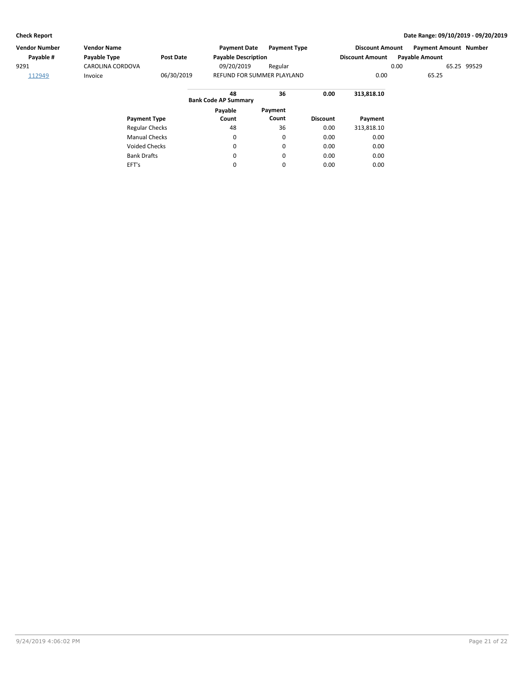EFT's

### **Check Report Date Range: 09/10/2019 - 09/20/2019**

| Vendor Number | <b>Vendor Name</b>    |            | <b>Payment Date</b>               | <b>Payment Type</b> |                 | <b>Discount Amount</b> |      | <b>Payment Amount Number</b> |             |
|---------------|-----------------------|------------|-----------------------------------|---------------------|-----------------|------------------------|------|------------------------------|-------------|
| Payable #     | Payable Type          | Post Date  | <b>Payable Description</b>        |                     |                 | <b>Discount Amount</b> |      | <b>Payable Amount</b>        |             |
| 9291          | CAROLINA CORDOVA      |            | 09/20/2019                        | Regular             |                 |                        | 0.00 |                              | 65.25 99529 |
| 112949        | Invoice               | 06/30/2019 | <b>REFUND FOR SUMMER PLAYLAND</b> |                     |                 | 0.00                   |      | 65.25                        |             |
|               |                       |            | 48<br><b>Bank Code AP Summary</b> | 36                  | 0.00            | 313.818.10             |      |                              |             |
|               |                       |            | Payable                           | Payment             |                 |                        |      |                              |             |
|               | <b>Payment Type</b>   |            | Count                             | Count               | <b>Discount</b> | Payment                |      |                              |             |
|               | <b>Regular Checks</b> |            | 48                                | 36                  | 0.00            | 313.818.10             |      |                              |             |
|               | <b>Manual Checks</b>  |            | 0                                 | $\mathbf 0$         | 0.00            | 0.00                   |      |                              |             |
|               | <b>Voided Checks</b>  |            | 0                                 | 0                   | 0.00            | 0.00                   |      |                              |             |
|               | <b>Bank Drafts</b>    |            | 0                                 | $\mathbf 0$         | 0.00            | 0.00                   |      |                              |             |

0

0

0.00

0.00